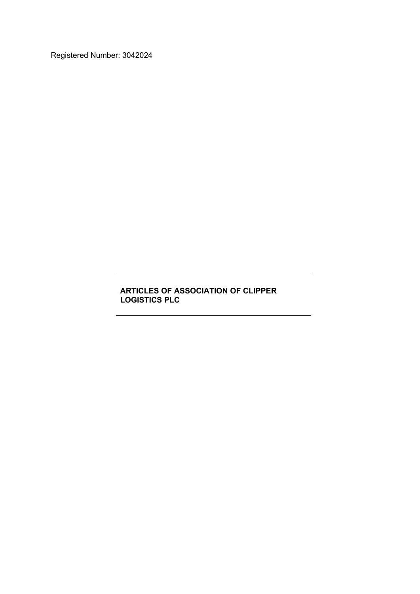Registered Number: 3042024

# **ARTICLES OF ASSOCIATION OF CLIPPER LOGISTICS PLC**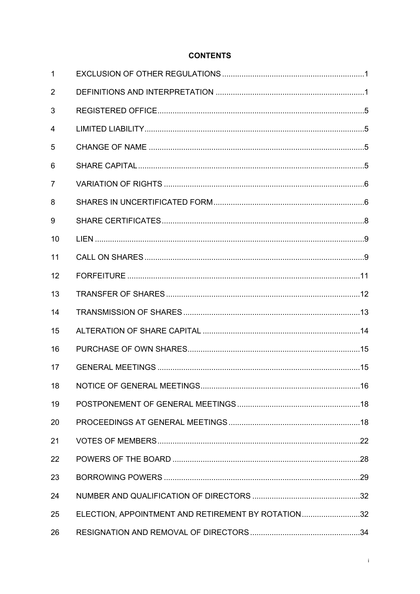# **CONTENTS**

| $\mathbf{1}$   |                                                    |  |
|----------------|----------------------------------------------------|--|
| 2              |                                                    |  |
| 3              |                                                    |  |
| 4              |                                                    |  |
| 5              |                                                    |  |
| 6              |                                                    |  |
| $\overline{7}$ |                                                    |  |
| 8              |                                                    |  |
| 9              |                                                    |  |
| 10             |                                                    |  |
| 11             |                                                    |  |
| 12             |                                                    |  |
| 13             |                                                    |  |
| 14             |                                                    |  |
| 15             |                                                    |  |
| 16             |                                                    |  |
| 17             |                                                    |  |
|                |                                                    |  |
| 19             |                                                    |  |
| 20             |                                                    |  |
| 21             |                                                    |  |
| 22             |                                                    |  |
| 23             |                                                    |  |
| 24             |                                                    |  |
| 25             | ELECTION, APPOINTMENT AND RETIREMENT BY ROTATION32 |  |
| 26             |                                                    |  |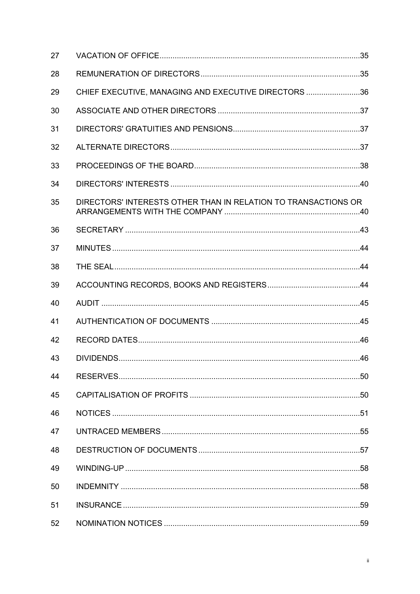| 27 |                                                                |  |
|----|----------------------------------------------------------------|--|
| 28 |                                                                |  |
| 29 | CHIEF EXECUTIVE, MANAGING AND EXECUTIVE DIRECTORS 36           |  |
| 30 |                                                                |  |
| 31 |                                                                |  |
| 32 |                                                                |  |
| 33 |                                                                |  |
| 34 |                                                                |  |
| 35 | DIRECTORS' INTERESTS OTHER THAN IN RELATION TO TRANSACTIONS OR |  |
| 36 |                                                                |  |
| 37 |                                                                |  |
| 38 |                                                                |  |
| 39 |                                                                |  |
| 40 |                                                                |  |
| 41 |                                                                |  |
| 42 |                                                                |  |
| 43 |                                                                |  |
| 44 |                                                                |  |
| 45 |                                                                |  |
| 46 |                                                                |  |
| 47 |                                                                |  |
| 48 |                                                                |  |
| 49 |                                                                |  |
| 50 |                                                                |  |
| 51 |                                                                |  |
| 52 |                                                                |  |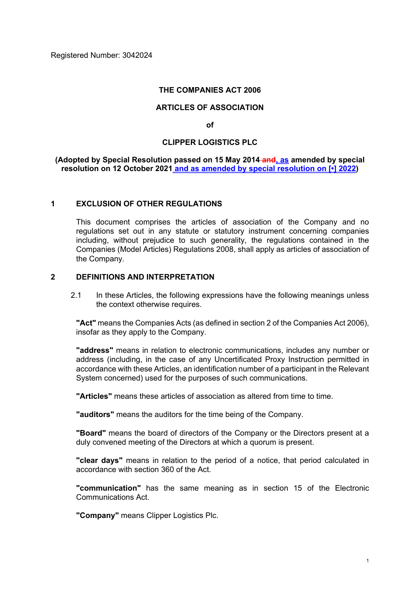Registered Number: 3042024

#### **THE COMPANIES ACT 2006**

#### **ARTICLES OF ASSOCIATION**

**of**

#### **CLIPPER LOGISTICS PLC**

**(Adopted by Special Resolution passed on 15 May 2014 and, as amended by special resolution on 12 October 2021 and as amended by special resolution on [•] 2022)**

#### **1 EXCLUSION OF OTHER REGULATIONS**

This document comprises the articles of association of the Company and no regulations set out in any statute or statutory instrument concerning companies including, without prejudice to such generality, the regulations contained in the Companies (Model Articles) Regulations 2008, shall apply as articles of association of the Company.

# **2 DEFINITIONS AND INTERPRETATION**

2.1 In these Articles, the following expressions have the following meanings unless the context otherwise requires.

**"Act"** means the Companies Acts (as defined in section 2 of the Companies Act 2006), insofar as they apply to the Company.

**"address"** means in relation to electronic communications, includes any number or address (including, in the case of any Uncertificated Proxy Instruction permitted in accordance with these Articles, an identification number of a participant in the Relevant System concerned) used for the purposes of such communications.

**"Articles"** means these articles of association as altered from time to time.

**"auditors"** means the auditors for the time being of the Company.

**"Board"** means the board of directors of the Company or the Directors present at a duly convened meeting of the Directors at which a quorum is present.

**"clear days"** means in relation to the period of a notice, that period calculated in accordance with section 360 of the Act.

**"communication"** has the same meaning as in section 15 of the Electronic Communications Act.

**"Company"** means Clipper Logistics Plc.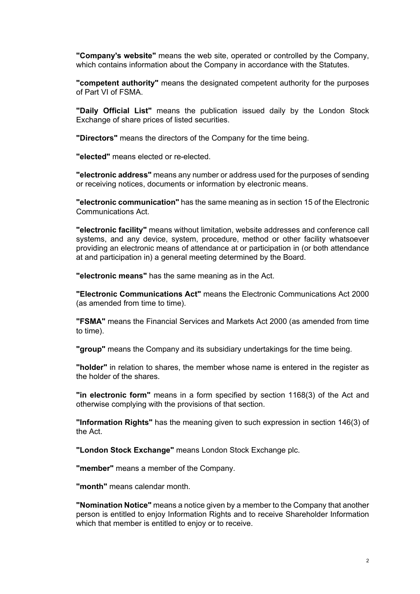**"Company's website"** means the web site, operated or controlled by the Company, which contains information about the Company in accordance with the Statutes.

**"competent authority"** means the designated competent authority for the purposes of Part VI of FSMA.

**"Daily Official List"** means the publication issued daily by the London Stock Exchange of share prices of listed securities.

**"Directors"** means the directors of the Company for the time being.

**"elected"** means elected or re-elected.

**"electronic address"** means any number or address used for the purposes of sending or receiving notices, documents or information by electronic means.

**"electronic communication"** has the same meaning as in section 15 of the Electronic Communications Act.

**"electronic facility"** means without limitation, website addresses and conference call systems, and any device, system, procedure, method or other facility whatsoever providing an electronic means of attendance at or participation in (or both attendance at and participation in) a general meeting determined by the Board.

**"electronic means"** has the same meaning as in the Act.

**"Electronic Communications Act"** means the Electronic Communications Act 2000 (as amended from time to time).

**"FSMA"** means the Financial Services and Markets Act 2000 (as amended from time to time).

**"group"** means the Company and its subsidiary undertakings for the time being.

**"holder"** in relation to shares, the member whose name is entered in the register as the holder of the shares.

**"in electronic form"** means in a form specified by section 1168(3) of the Act and otherwise complying with the provisions of that section.

**"Information Rights"** has the meaning given to such expression in section 146(3) of the Act.

**"London Stock Exchange"** means London Stock Exchange plc.

**"member"** means a member of the Company.

**"month"** means calendar month.

**"Nomination Notice"** means a notice given by a member to the Company that another person is entitled to enjoy Information Rights and to receive Shareholder Information which that member is entitled to enjoy or to receive.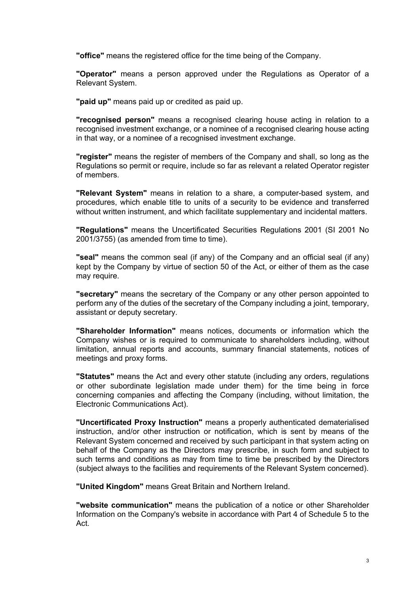**"office"** means the registered office for the time being of the Company.

**"Operator"** means a person approved under the Regulations as Operator of a Relevant System.

**"paid up"** means paid up or credited as paid up.

**"recognised person"** means a recognised clearing house acting in relation to a recognised investment exchange, or a nominee of a recognised clearing house acting in that way, or a nominee of a recognised investment exchange.

**"register"** means the register of members of the Company and shall, so long as the Regulations so permit or require, include so far as relevant a related Operator register of members.

**"Relevant System"** means in relation to a share, a computer-based system, and procedures, which enable title to units of a security to be evidence and transferred without written instrument, and which facilitate supplementary and incidental matters.

**"Regulations"** means the Uncertificated Securities Regulations 2001 (SI 2001 No 2001/3755) (as amended from time to time).

**"seal"** means the common seal (if any) of the Company and an official seal (if any) kept by the Company by virtue of section 50 of the Act, or either of them as the case may require.

**"secretary"** means the secretary of the Company or any other person appointed to perform any of the duties of the secretary of the Company including a joint, temporary, assistant or deputy secretary.

**"Shareholder Information"** means notices, documents or information which the Company wishes or is required to communicate to shareholders including, without limitation, annual reports and accounts, summary financial statements, notices of meetings and proxy forms.

**"Statutes"** means the Act and every other statute (including any orders, regulations or other subordinate legislation made under them) for the time being in force concerning companies and affecting the Company (including, without limitation, the Electronic Communications Act).

**"Uncertificated Proxy Instruction"** means a properly authenticated dematerialised instruction, and/or other instruction or notification, which is sent by means of the Relevant System concerned and received by such participant in that system acting on behalf of the Company as the Directors may prescribe, in such form and subject to such terms and conditions as may from time to time be prescribed by the Directors (subject always to the facilities and requirements of the Relevant System concerned).

**"United Kingdom"** means Great Britain and Northern Ireland.

**"website communication"** means the publication of a notice or other Shareholder Information on the Company's website in accordance with Part 4 of Schedule 5 to the Act.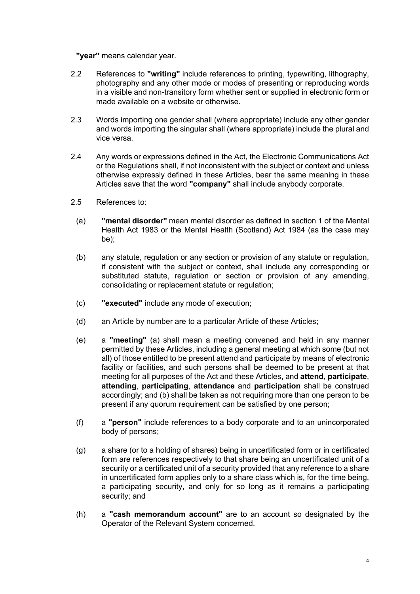**"year"** means calendar year.

- 2.2 References to **"writing"** include references to printing, typewriting, lithography, photography and any other mode or modes of presenting or reproducing words in a visible and non-transitory form whether sent or supplied in electronic form or made available on a website or otherwise.
- 2.3 Words importing one gender shall (where appropriate) include any other gender and words importing the singular shall (where appropriate) include the plural and vice versa.
- 2.4 Any words or expressions defined in the Act, the Electronic Communications Act or the Regulations shall, if not inconsistent with the subject or context and unless otherwise expressly defined in these Articles, bear the same meaning in these Articles save that the word **"company"** shall include anybody corporate.
- 2.5 References to:
	- (a) **"mental disorder"** mean mental disorder as defined in section 1 of the Mental Health Act 1983 or the Mental Health (Scotland) Act 1984 (as the case may be);
	- (b) any statute, regulation or any section or provision of any statute or regulation, if consistent with the subject or context, shall include any corresponding or substituted statute, regulation or section or provision of any amending, consolidating or replacement statute or regulation;
	- (c) **"executed"** include any mode of execution;
	- (d) an Article by number are to a particular Article of these Articles;
	- (e) a **"meeting"** (a) shall mean a meeting convened and held in any manner permitted by these Articles, including a general meeting at which some (but not all) of those entitled to be present attend and participate by means of electronic facility or facilities, and such persons shall be deemed to be present at that meeting for all purposes of the Act and these Articles, and **attend**, **participate**, **attending**, **participating**, **attendance** and **participation** shall be construed accordingly; and (b) shall be taken as not requiring more than one person to be present if any quorum requirement can be satisfied by one person;
	- (f) a **"person"** include references to a body corporate and to an unincorporated body of persons;
	- (g) a share (or to a holding of shares) being in uncertificated form or in certificated form are references respectively to that share being an uncertificated unit of a security or a certificated unit of a security provided that any reference to a share in uncertificated form applies only to a share class which is, for the time being, a participating security, and only for so long as it remains a participating security; and
	- (h) a **"cash memorandum account"** are to an account so designated by the Operator of the Relevant System concerned.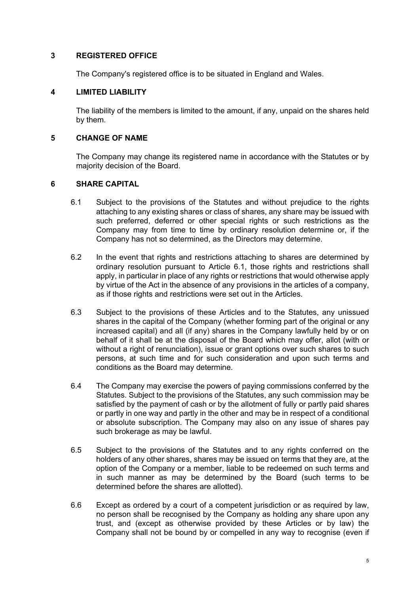### **3 REGISTERED OFFICE**

The Company's registered office is to be situated in England and Wales.

#### **4 LIMITED LIABILITY**

The liability of the members is limited to the amount, if any, unpaid on the shares held by them.

# **5 CHANGE OF NAME**

The Company may change its registered name in accordance with the Statutes or by majority decision of the Board.

### **6 SHARE CAPITAL**

- <span id="page-7-0"></span>6.1 Subject to the provisions of the Statutes and without prejudice to the rights attaching to any existing shares or class of shares, any share may be issued with such preferred, deferred or other special rights or such restrictions as the Company may from time to time by ordinary resolution determine or, if the Company has not so determined, as the Directors may determine.
- 6.2 In the event that rights and restrictions attaching to shares are determined by ordinary resolution pursuant to Article [6.1,](#page-7-0) those rights and restrictions shall apply, in particular in place of any rights or restrictions that would otherwise apply by virtue of the Act in the absence of any provisions in the articles of a company, as if those rights and restrictions were set out in the Articles.
- 6.3 Subject to the provisions of these Articles and to the Statutes, any unissued shares in the capital of the Company (whether forming part of the original or any increased capital) and all (if any) shares in the Company lawfully held by or on behalf of it shall be at the disposal of the Board which may offer, allot (with or without a right of renunciation), issue or grant options over such shares to such persons, at such time and for such consideration and upon such terms and conditions as the Board may determine.
- 6.4 The Company may exercise the powers of paying commissions conferred by the Statutes. Subject to the provisions of the Statutes, any such commission may be satisfied by the payment of cash or by the allotment of fully or partly paid shares or partly in one way and partly in the other and may be in respect of a conditional or absolute subscription. The Company may also on any issue of shares pay such brokerage as may be lawful.
- 6.5 Subject to the provisions of the Statutes and to any rights conferred on the holders of any other shares, shares may be issued on terms that they are, at the option of the Company or a member, liable to be redeemed on such terms and in such manner as may be determined by the Board (such terms to be determined before the shares are allotted).
- 6.6 Except as ordered by a court of a competent jurisdiction or as required by law, no person shall be recognised by the Company as holding any share upon any trust, and (except as otherwise provided by these Articles or by law) the Company shall not be bound by or compelled in any way to recognise (even if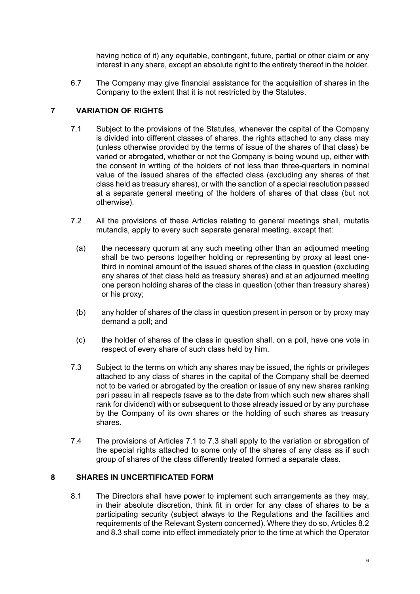having notice of it) any equitable, contingent, future, partial or other claim or any interest in any share, except an absolute right to the entirety thereof in the holder.

6.7 The Company may give financial assistance for the acquisition of shares in the Company to the extent that it is not restricted by the Statutes.

# **7 VARIATION OF RIGHTS**

- <span id="page-8-0"></span>7.1 Subject to the provisions of the Statutes, whenever the capital of the Company is divided into different classes of shares, the rights attached to any class may (unless otherwise provided by the terms of issue of the shares of that class) be varied or abrogated, whether or not the Company is being wound up, either with the consent in writing of the holders of not less than three-quarters in nominal value of the issued shares of the affected class (excluding any shares of that class held as treasury shares), or with the sanction of a special resolution passed at a separate general meeting of the holders of shares of that class (but not otherwise).
- 7.2 All the provisions of these Articles relating to general meetings shall, mutatis mutandis, apply to every such separate general meeting, except that:
	- (a) the necessary quorum at any such meeting other than an adjourned meeting shall be two persons together holding or representing by proxy at least onethird in nominal amount of the issued shares of the class in question (excluding any shares of that class held as treasury shares) and at an adjourned meeting one person holding shares of the class in question (other than treasury shares) or his proxy;
	- (b) any holder of shares of the class in question present in person or by proxy may demand a poll; and
	- (c) the holder of shares of the class in question shall, on a poll, have one vote in respect of every share of such class held by him.
- <span id="page-8-1"></span>7.3 Subject to the terms on which any shares may be issued, the rights or privileges attached to any class of shares in the capital of the Company shall be deemed not to be varied or abrogated by the creation or issue of any new shares ranking pari passu in all respects (save as to the date from which such new shares shall rank for dividend) with or subsequent to those already issued or by any purchase by the Company of its own shares or the holding of such shares as treasury shares.
- 7.4 The provisions of Articles [7.1](#page-8-0) to [7.3](#page-8-1) shall apply to the variation or abrogation of the special rights attached to some only of the shares of any class as if such group of shares of the class differently treated formed a separate class.

### **8 SHARES IN UNCERTIFICATED FORM**

8.1 The Directors shall have power to implement such arrangements as they may, in their absolute discretion, think fit in order for any class of shares to be a participating security (subject always to the Regulations and the facilities and requirements of the Relevant System concerned). Where they do so, Articles [8.2](#page-9-0) and [8.3](#page-9-1) shall come into effect immediately prior to the time at which the Operator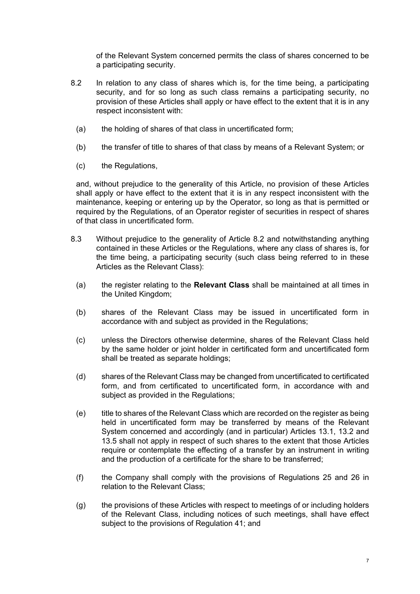of the Relevant System concerned permits the class of shares concerned to be a participating security.

- <span id="page-9-0"></span>8.2 In relation to any class of shares which is, for the time being, a participating security, and for so long as such class remains a participating security, no provision of these Articles shall apply or have effect to the extent that it is in any respect inconsistent with:
	- (a) the holding of shares of that class in uncertificated form;
	- (b) the transfer of title to shares of that class by means of a Relevant System; or
	- (c) the Regulations,

and, without prejudice to the generality of this Article, no provision of these Articles shall apply or have effect to the extent that it is in any respect inconsistent with the maintenance, keeping or entering up by the Operator, so long as that is permitted or required by the Regulations, of an Operator register of securities in respect of shares of that class in uncertificated form.

- <span id="page-9-1"></span>8.3 Without prejudice to the generality of Article [8.2](#page-9-0) and notwithstanding anything contained in these Articles or the Regulations, where any class of shares is, for the time being, a participating security (such class being referred to in these Articles as the Relevant Class):
	- (a) the register relating to the **Relevant Class** shall be maintained at all times in the United Kingdom;
	- (b) shares of the Relevant Class may be issued in uncertificated form in accordance with and subject as provided in the Regulations;
	- (c) unless the Directors otherwise determine, shares of the Relevant Class held by the same holder or joint holder in certificated form and uncertificated form shall be treated as separate holdings;
	- (d) shares of the Relevant Class may be changed from uncertificated to certificated form, and from certificated to uncertificated form, in accordance with and subject as provided in the Regulations;
	- (e) title to shares of the Relevant Class which are recorded on the register as being held in uncertificated form may be transferred by means of the Relevant System concerned and accordingly (and in particular) Articles [13.1,](#page-14-0) [13.2](#page-14-1) and [13.5](#page-15-0) shall not apply in respect of such shares to the extent that those Articles require or contemplate the effecting of a transfer by an instrument in writing and the production of a certificate for the share to be transferred;
	- (f) the Company shall comply with the provisions of Regulations 25 and 26 in relation to the Relevant Class;
	- (g) the provisions of these Articles with respect to meetings of or including holders of the Relevant Class, including notices of such meetings, shall have effect subject to the provisions of Regulation 41; and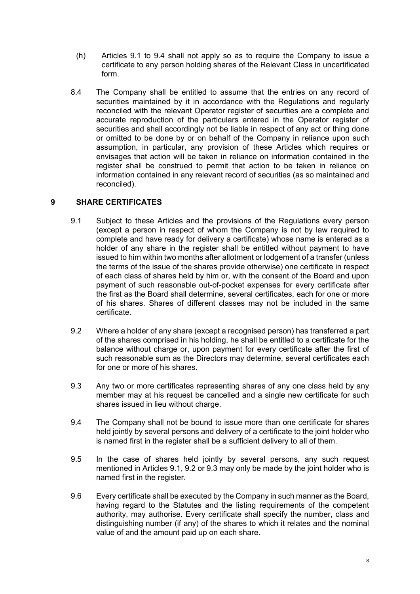- (h) Articles [9.1](#page-10-0) to [9.4](#page-10-1) shall not apply so as to require the Company to issue a certificate to any person holding shares of the Relevant Class in uncertificated form.
- 8.4 The Company shall be entitled to assume that the entries on any record of securities maintained by it in accordance with the Regulations and regularly reconciled with the relevant Operator register of securities are a complete and accurate reproduction of the particulars entered in the Operator register of securities and shall accordingly not be liable in respect of any act or thing done or omitted to be done by or on behalf of the Company in reliance upon such assumption, in particular, any provision of these Articles which requires or envisages that action will be taken in reliance on information contained in the register shall be construed to permit that action to be taken in reliance on information contained in any relevant record of securities (as so maintained and reconciled).

# **9 SHARE CERTIFICATES**

- <span id="page-10-0"></span>9.1 Subject to these Articles and the provisions of the Regulations every person (except a person in respect of whom the Company is not by law required to complete and have ready for delivery a certificate) whose name is entered as a holder of any share in the register shall be entitled without payment to have issued to him within two months after allotment or lodgement of a transfer (unless the terms of the issue of the shares provide otherwise) one certificate in respect of each class of shares held by him or, with the consent of the Board and upon payment of such reasonable out-of-pocket expenses for every certificate after the first as the Board shall determine, several certificates, each for one or more of his shares. Shares of different classes may not be included in the same certificate.
- <span id="page-10-2"></span>9.2 Where a holder of any share (except a recognised person) has transferred a part of the shares comprised in his holding, he shall be entitled to a certificate for the balance without charge or, upon payment for every certificate after the first of such reasonable sum as the Directors may determine, several certificates each for one or more of his shares.
- <span id="page-10-3"></span>9.3 Any two or more certificates representing shares of any one class held by any member may at his request be cancelled and a single new certificate for such shares issued in lieu without charge.
- <span id="page-10-1"></span>9.4 The Company shall not be bound to issue more than one certificate for shares held jointly by several persons and delivery of a certificate to the joint holder who is named first in the register shall be a sufficient delivery to all of them.
- 9.5 In the case of shares held jointly by several persons, any such request mentioned in Articles [9.1](#page-10-0), [9.2](#page-10-2) or [9.3](#page-10-3) may only be made by the joint holder who is named first in the register.
- 9.6 Every certificate shall be executed by the Company in such manner as the Board, having regard to the Statutes and the listing requirements of the competent authority, may authorise. Every certificate shall specify the number, class and distinguishing number (if any) of the shares to which it relates and the nominal value of and the amount paid up on each share.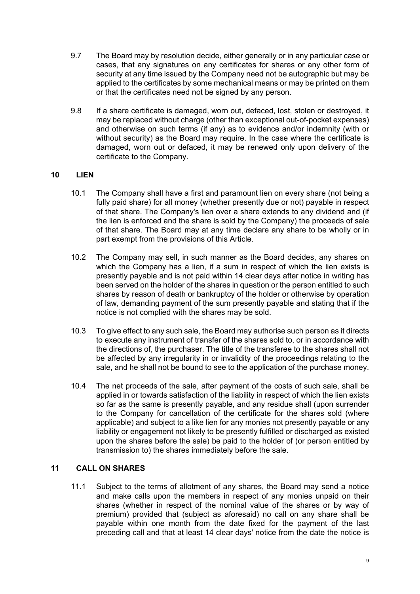- 9.7 The Board may by resolution decide, either generally or in any particular case or cases, that any signatures on any certificates for shares or any other form of security at any time issued by the Company need not be autographic but may be applied to the certificates by some mechanical means or may be printed on them or that the certificates need not be signed by any person.
- 9.8 If a share certificate is damaged, worn out, defaced, lost, stolen or destroyed, it may be replaced without charge (other than exceptional out-of-pocket expenses) and otherwise on such terms (if any) as to evidence and/or indemnity (with or without security) as the Board may require. In the case where the certificate is damaged, worn out or defaced, it may be renewed only upon delivery of the certificate to the Company.

# **10 LIEN**

- 10.1 The Company shall have a first and paramount lien on every share (not being a fully paid share) for all money (whether presently due or not) payable in respect of that share. The Company's lien over a share extends to any dividend and (if the lien is enforced and the share is sold by the Company) the proceeds of sale of that share. The Board may at any time declare any share to be wholly or in part exempt from the provisions of this Article.
- 10.2 The Company may sell, in such manner as the Board decides, any shares on which the Company has a lien, if a sum in respect of which the lien exists is presently payable and is not paid within 14 clear days after notice in writing has been served on the holder of the shares in question or the person entitled to such shares by reason of death or bankruptcy of the holder or otherwise by operation of law, demanding payment of the sum presently payable and stating that if the notice is not complied with the shares may be sold.
- 10.3 To give effect to any such sale, the Board may authorise such person as it directs to execute any instrument of transfer of the shares sold to, or in accordance with the directions of, the purchaser. The title of the transferee to the shares shall not be affected by any irregularity in or invalidity of the proceedings relating to the sale, and he shall not be bound to see to the application of the purchase money.
- 10.4 The net proceeds of the sale, after payment of the costs of such sale, shall be applied in or towards satisfaction of the liability in respect of which the lien exists so far as the same is presently payable, and any residue shall (upon surrender to the Company for cancellation of the certificate for the shares sold (where applicable) and subject to a like lien for any monies not presently payable or any liability or engagement not likely to be presently fulfilled or discharged as existed upon the shares before the sale) be paid to the holder of (or person entitled by transmission to) the shares immediately before the sale.

### **11 CALL ON SHARES**

11.1 Subject to the terms of allotment of any shares, the Board may send a notice and make calls upon the members in respect of any monies unpaid on their shares (whether in respect of the nominal value of the shares or by way of premium) provided that (subject as aforesaid) no call on any share shall be payable within one month from the date fixed for the payment of the last preceding call and that at least 14 clear days' notice from the date the notice is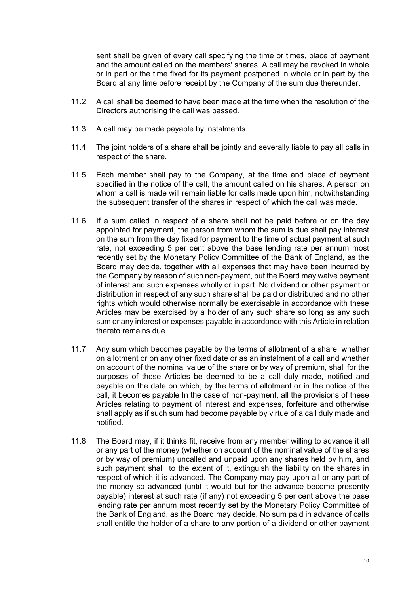sent shall be given of every call specifying the time or times, place of payment and the amount called on the members' shares. A call may be revoked in whole or in part or the time fixed for its payment postponed in whole or in part by the Board at any time before receipt by the Company of the sum due thereunder.

- 11.2 A call shall be deemed to have been made at the time when the resolution of the Directors authorising the call was passed.
- 11.3 A call may be made payable by instalments.
- 11.4 The joint holders of a share shall be jointly and severally liable to pay all calls in respect of the share.
- 11.5 Each member shall pay to the Company, at the time and place of payment specified in the notice of the call, the amount called on his shares. A person on whom a call is made will remain liable for calls made upon him, notwithstanding the subsequent transfer of the shares in respect of which the call was made.
- 11.6 If a sum called in respect of a share shall not be paid before or on the day appointed for payment, the person from whom the sum is due shall pay interest on the sum from the day fixed for payment to the time of actual payment at such rate, not exceeding 5 per cent above the base lending rate per annum most recently set by the Monetary Policy Committee of the Bank of England, as the Board may decide, together with all expenses that may have been incurred by the Company by reason of such non-payment, but the Board may waive payment of interest and such expenses wholly or in part. No dividend or other payment or distribution in respect of any such share shall be paid or distributed and no other rights which would otherwise normally be exercisable in accordance with these Articles may be exercised by a holder of any such share so long as any such sum or any interest or expenses payable in accordance with this Article in relation thereto remains due.
- 11.7 Any sum which becomes payable by the terms of allotment of a share, whether on allotment or on any other fixed date or as an instalment of a call and whether on account of the nominal value of the share or by way of premium, shall for the purposes of these Articles be deemed to be a call duly made, notified and payable on the date on which, by the terms of allotment or in the notice of the call, it becomes payable In the case of non-payment, all the provisions of these Articles relating to payment of interest and expenses, forfeiture and otherwise shall apply as if such sum had become payable by virtue of a call duly made and notified.
- 11.8 The Board may, if it thinks fit, receive from any member willing to advance it all or any part of the money (whether on account of the nominal value of the shares or by way of premium) uncalled and unpaid upon any shares held by him, and such payment shall, to the extent of it, extinguish the liability on the shares in respect of which it is advanced. The Company may pay upon all or any part of the money so advanced (until it would but for the advance become presently payable) interest at such rate (if any) not exceeding 5 per cent above the base lending rate per annum most recently set by the Monetary Policy Committee of the Bank of England, as the Board may decide. No sum paid in advance of calls shall entitle the holder of a share to any portion of a dividend or other payment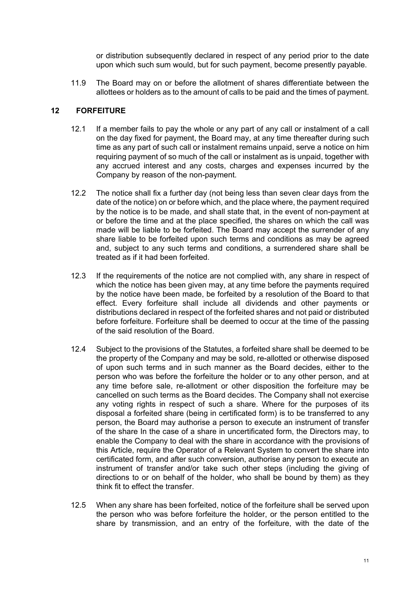or distribution subsequently declared in respect of any period prior to the date upon which such sum would, but for such payment, become presently payable.

11.9 The Board may on or before the allotment of shares differentiate between the allottees or holders as to the amount of calls to be paid and the times of payment.

# **12 FORFEITURE**

- 12.1 If a member fails to pay the whole or any part of any call or instalment of a call on the day fixed for payment, the Board may, at any time thereafter during such time as any part of such call or instalment remains unpaid, serve a notice on him requiring payment of so much of the call or instalment as is unpaid, together with any accrued interest and any costs, charges and expenses incurred by the Company by reason of the non-payment.
- 12.2 The notice shall fix a further day (not being less than seven clear days from the date of the notice) on or before which, and the place where, the payment required by the notice is to be made, and shall state that, in the event of non-payment at or before the time and at the place specified, the shares on which the call was made will be liable to be forfeited. The Board may accept the surrender of any share liable to be forfeited upon such terms and conditions as may be agreed and, subject to any such terms and conditions, a surrendered share shall be treated as if it had been forfeited.
- 12.3 If the requirements of the notice are not complied with, any share in respect of which the notice has been given may, at any time before the payments required by the notice have been made, be forfeited by a resolution of the Board to that effect. Every forfeiture shall include all dividends and other payments or distributions declared in respect of the forfeited shares and not paid or distributed before forfeiture. Forfeiture shall be deemed to occur at the time of the passing of the said resolution of the Board.
- 12.4 Subject to the provisions of the Statutes, a forfeited share shall be deemed to be the property of the Company and may be sold, re-allotted or otherwise disposed of upon such terms and in such manner as the Board decides, either to the person who was before the forfeiture the holder or to any other person, and at any time before sale, re-allotment or other disposition the forfeiture may be cancelled on such terms as the Board decides. The Company shall not exercise any voting rights in respect of such a share. Where for the purposes of its disposal a forfeited share (being in certificated form) is to be transferred to any person, the Board may authorise a person to execute an instrument of transfer of the share In the case of a share in uncertificated form, the Directors may, to enable the Company to deal with the share in accordance with the provisions of this Article, require the Operator of a Relevant System to convert the share into certificated form, and after such conversion, authorise any person to execute an instrument of transfer and/or take such other steps (including the giving of directions to or on behalf of the holder, who shall be bound by them) as they think fit to effect the transfer.
- 12.5 When any share has been forfeited, notice of the forfeiture shall be served upon the person who was before forfeiture the holder, or the person entitled to the share by transmission, and an entry of the forfeiture, with the date of the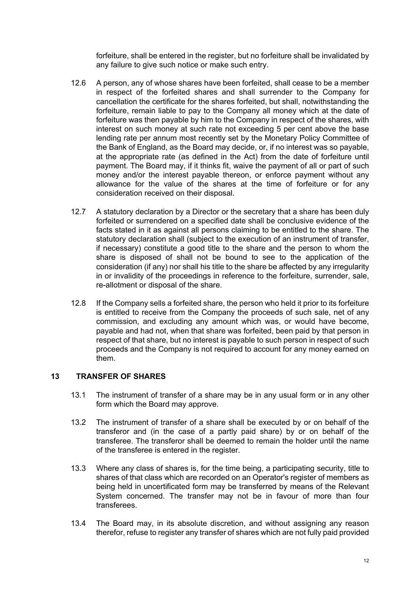forfeiture, shall be entered in the register, but no forfeiture shall be invalidated by any failure to give such notice or make such entry.

- 12.6 A person, any of whose shares have been forfeited, shall cease to be a member in respect of the forfeited shares and shall surrender to the Company for cancellation the certificate for the shares forfeited, but shall, notwithstanding the forfeiture, remain liable to pay to the Company all money which at the date of forfeiture was then payable by him to the Company in respect of the shares, with interest on such money at such rate not exceeding 5 per cent above the base lending rate per annum most recently set by the Monetary Policy Committee of the Bank of England, as the Board may decide, or, if no interest was so payable, at the appropriate rate (as defined in the Act) from the date of forfeiture until payment. The Board may, if it thinks fit, waive the payment of all or part of such money and/or the interest payable thereon, or enforce payment without any allowance for the value of the shares at the time of forfeiture or for any consideration received on their disposal.
- 12.7 A statutory declaration by a Director or the secretary that a share has been duly forfeited or surrendered on a specified date shall be conclusive evidence of the facts stated in it as against all persons claiming to be entitled to the share. The statutory declaration shall (subject to the execution of an instrument of transfer, if necessary) constitute a good title to the share and the person to whom the share is disposed of shall not be bound to see to the application of the consideration (if any) nor shall his title to the share be affected by any irregularity in or invalidity of the proceedings in reference to the forfeiture, surrender, sale, re-allotment or disposal of the share.
- 12.8 If the Company sells a forfeited share, the person who held it prior to its forfeiture is entitled to receive from the Company the proceeds of such sale, net of any commission, and excluding any amount which was, or would have become, payable and had not, when that share was forfeited, been paid by that person in respect of that share, but no interest is payable to such person in respect of such proceeds and the Company is not required to account for any money earned on them.

### **13 TRANSFER OF SHARES**

- <span id="page-14-0"></span>13.1 The instrument of transfer of a share may be in any usual form or in any other form which the Board may approve.
- <span id="page-14-1"></span>13.2 The instrument of transfer of a share shall be executed by or on behalf of the transferor and (in the case of a partly paid share) by or on behalf of the transferee. The transferor shall be deemed to remain the holder until the name of the transferee is entered in the register.
- 13.3 Where any class of shares is, for the time being, a participating security, title to shares of that class which are recorded on an Operator's register of members as being held in uncertificated form may be transferred by means of the Relevant System concerned. The transfer may not be in favour of more than four transferees.
- 13.4 The Board may, in its absolute discretion, and without assigning any reason therefor, refuse to register any transfer of shares which are not fully paid provided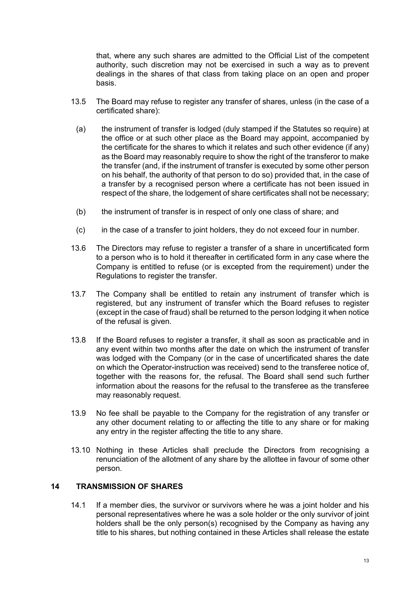that, where any such shares are admitted to the Official List of the competent authority, such discretion may not be exercised in such a way as to prevent dealings in the shares of that class from taking place on an open and proper basis.

- <span id="page-15-0"></span>13.5 The Board may refuse to register any transfer of shares, unless (in the case of a certificated share):
- (a) the instrument of transfer is lodged (duly stamped if the Statutes so require) at the office or at such other place as the Board may appoint, accompanied by the certificate for the shares to which it relates and such other evidence (if any) as the Board may reasonably require to show the right of the transferor to make the transfer (and, if the instrument of transfer is executed by some other person on his behalf, the authority of that person to do so) provided that, in the case of a transfer by a recognised person where a certificate has not been issued in respect of the share, the lodgement of share certificates shall not be necessary;
- (b) the instrument of transfer is in respect of only one class of share; and
- (c) in the case of a transfer to joint holders, they do not exceed four in number.
- 13.6 The Directors may refuse to register a transfer of a share in uncertificated form to a person who is to hold it thereafter in certificated form in any case where the Company is entitled to refuse (or is excepted from the requirement) under the Regulations to register the transfer.
- 13.7 The Company shall be entitled to retain any instrument of transfer which is registered, but any instrument of transfer which the Board refuses to register (except in the case of fraud) shall be returned to the person lodging it when notice of the refusal is given.
- 13.8 If the Board refuses to register a transfer, it shall as soon as practicable and in any event within two months after the date on which the instrument of transfer was lodged with the Company (or in the case of uncertificated shares the date on which the Operator-instruction was received) send to the transferee notice of, together with the reasons for, the refusal. The Board shall send such further information about the reasons for the refusal to the transferee as the transferee may reasonably request.
- 13.9 No fee shall be payable to the Company for the registration of any transfer or any other document relating to or affecting the title to any share or for making any entry in the register affecting the title to any share.
- 13.10 Nothing in these Articles shall preclude the Directors from recognising a renunciation of the allotment of any share by the allottee in favour of some other person.

### **14 TRANSMISSION OF SHARES**

14.1 If a member dies, the survivor or survivors where he was a joint holder and his personal representatives where he was a sole holder or the only survivor of joint holders shall be the only person(s) recognised by the Company as having any title to his shares, but nothing contained in these Articles shall release the estate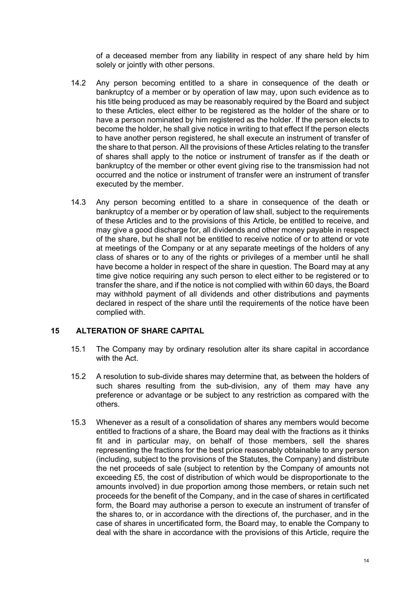of a deceased member from any liability in respect of any share held by him solely or jointly with other persons.

- 14.2 Any person becoming entitled to a share in consequence of the death or bankruptcy of a member or by operation of law may, upon such evidence as to his title being produced as may be reasonably required by the Board and subject to these Articles, elect either to be registered as the holder of the share or to have a person nominated by him registered as the holder. If the person elects to become the holder, he shall give notice in writing to that effect If the person elects to have another person registered, he shall execute an instrument of transfer of the share to that person. All the provisions of these Articles relating to the transfer of shares shall apply to the notice or instrument of transfer as if the death or bankruptcy of the member or other event giving rise to the transmission had not occurred and the notice or instrument of transfer were an instrument of transfer executed by the member.
- 14.3 Any person becoming entitled to a share in consequence of the death or bankruptcy of a member or by operation of law shall, subject to the requirements of these Articles and to the provisions of this Article, be entitled to receive, and may give a good discharge for, all dividends and other money payable in respect of the share, but he shall not be entitled to receive notice of or to attend or vote at meetings of the Company or at any separate meetings of the holders of any class of shares or to any of the rights or privileges of a member until he shall have become a holder in respect of the share in question. The Board may at any time give notice requiring any such person to elect either to be registered or to transfer the share, and if the notice is not complied with within 60 days, the Board may withhold payment of all dividends and other distributions and payments declared in respect of the share until the requirements of the notice have been complied with.

### **15 ALTERATION OF SHARE CAPITAL**

- 15.1 The Company may by ordinary resolution alter its share capital in accordance with the Act.
- 15.2 A resolution to sub-divide shares may determine that, as between the holders of such shares resulting from the sub-division, any of them may have any preference or advantage or be subject to any restriction as compared with the others.
- 15.3 Whenever as a result of a consolidation of shares any members would become entitled to fractions of a share, the Board may deal with the fractions as it thinks fit and in particular may, on behalf of those members, sell the shares representing the fractions for the best price reasonably obtainable to any person (including, subject to the provisions of the Statutes, the Company) and distribute the net proceeds of sale (subject to retention by the Company of amounts not exceeding £5, the cost of distribution of which would be disproportionate to the amounts involved) in due proportion among those members, or retain such net proceeds for the benefit of the Company, and in the case of shares in certificated form, the Board may authorise a person to execute an instrument of transfer of the shares to, or in accordance with the directions of, the purchaser, and in the case of shares in uncertificated form, the Board may, to enable the Company to deal with the share in accordance with the provisions of this Article, require the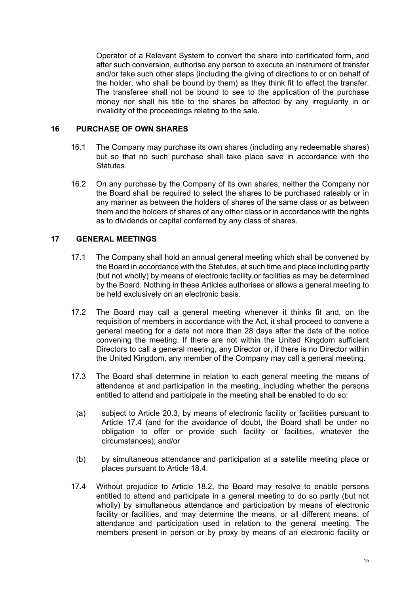Operator of a Relevant System to convert the share into certificated form, and after such conversion, authorise any person to execute an instrument of transfer and/or take such other steps (including the giving of directions to or on behalf of the holder, who shall be bound by them) as they think fit to effect the transfer. The transferee shall not be bound to see to the application of the purchase money nor shall his title to the shares be affected by any irregularity in or invalidity of the proceedings relating to the sale.

#### **16 PURCHASE OF OWN SHARES**

- 16.1 The Company may purchase its own shares (including any redeemable shares) but so that no such purchase shall take place save in accordance with the Statutes.
- 16.2 On any purchase by the Company of its own shares, neither the Company nor the Board shall be required to select the shares to be purchased rateably or in any manner as between the holders of shares of the same class or as between them and the holders of shares of any other class or in accordance with the rights as to dividends or capital conferred by any class of shares.

# **17 GENERAL MEETINGS**

- 17.1 The Company shall hold an annual general meeting which shall be convened by the Board in accordance with the Statutes, at such time and place including partly (but not wholly) by means of electronic facility or facilities as may be determined by the Board. Nothing in these Articles authorises or allows a general meeting to be held exclusively on an electronic basis.
- 17.2 The Board may call a general meeting whenever it thinks fit and, on the requisition of members in accordance with the Act, it shall proceed to convene a general meeting for a date not more than 28 days after the date of the notice convening the meeting. If there are not within the United Kingdom sufficient Directors to call a general meeting, any Director or, if there is no Director within the United Kingdom, any member of the Company may call a general meeting.
- 17.3 The Board shall determine in relation to each general meeting the means of attendance at and participation in the meeting, including whether the persons entitled to attend and participate in the meeting shall be enabled to do so:
	- (a) subject to Article [20.3,](#page-21-0) by means of electronic facility or facilities pursuant to Article [17.4](#page-17-0) (and for the avoidance of doubt, the Board shall be under no obligation to offer or provide such facility or facilities, whatever the circumstances); and/or
	- (b) by simultaneous attendance and participation at a satellite meeting place or places pursuant to Article [18.4.](#page-19-0)
- <span id="page-17-0"></span>17.4 Without prejudice to Article [18.2,](#page-18-0) the Board may resolve to enable persons entitled to attend and participate in a general meeting to do so partly (but not wholly) by simultaneous attendance and participation by means of electronic facility or facilities, and may determine the means, or all different means, of attendance and participation used in relation to the general meeting. The members present in person or by proxy by means of an electronic facility or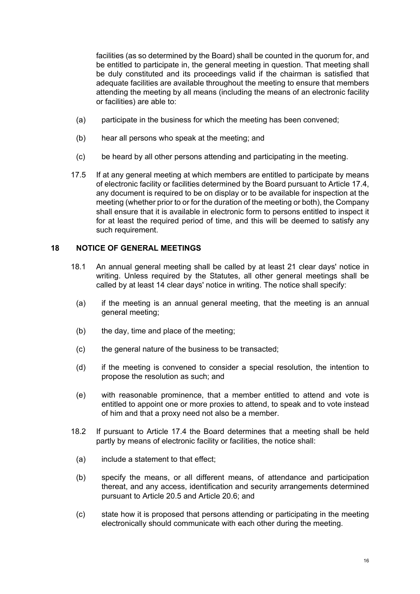facilities (as so determined by the Board) shall be counted in the quorum for, and be entitled to participate in, the general meeting in question. That meeting shall be duly constituted and its proceedings valid if the chairman is satisfied that adequate facilities are available throughout the meeting to ensure that members attending the meeting by all means (including the means of an electronic facility or facilities) are able to:

- (a) participate in the business for which the meeting has been convened;
- (b) hear all persons who speak at the meeting; and
- (c) be heard by all other persons attending and participating in the meeting.
- 17.5 If at any general meeting at which members are entitled to participate by means of electronic facility or facilities determined by the Board pursuant to Article [17.4](#page-17-0), any document is required to be on display or to be available for inspection at the meeting (whether prior to or for the duration of the meeting or both), the Company shall ensure that it is available in electronic form to persons entitled to inspect it for at least the required period of time, and this will be deemed to satisfy any such requirement.

# **18 NOTICE OF GENERAL MEETINGS**

- 18.1 An annual general meeting shall be called by at least 21 clear days' notice in writing. Unless required by the Statutes, all other general meetings shall be called by at least 14 clear days' notice in writing. The notice shall specify:
	- (a) if the meeting is an annual general meeting, that the meeting is an annual general meeting;
	- (b) the day, time and place of the meeting:
	- (c) the general nature of the business to be transacted;
	- (d) if the meeting is convened to consider a special resolution, the intention to propose the resolution as such; and
	- (e) with reasonable prominence, that a member entitled to attend and vote is entitled to appoint one or more proxies to attend, to speak and to vote instead of him and that a proxy need not also be a member.
- <span id="page-18-0"></span>18.2 If pursuant to Article [17.4](#page-17-0) the Board determines that a meeting shall be held partly by means of electronic facility or facilities, the notice shall:
	- (a) include a statement to that effect;
	- (b) specify the means, or all different means, of attendance and participation thereat, and any access, identification and security arrangements determined pursuant to Article [20.5](#page-21-1) and Article [20.6;](#page-21-2) and
- (c) state how it is proposed that persons attending or participating in the meeting electronically should communicate with each other during the meeting.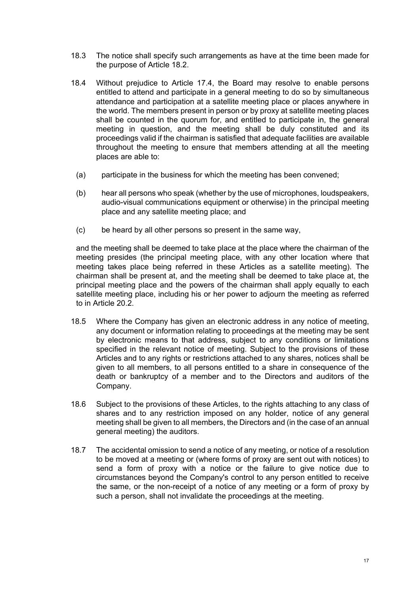- 18.3 The notice shall specify such arrangements as have at the time been made for the purpose of Article [18.2.](#page-18-0)
- <span id="page-19-0"></span>18.4 Without prejudice to Article [17.4,](#page-17-0) the Board may resolve to enable persons entitled to attend and participate in a general meeting to do so by simultaneous attendance and participation at a satellite meeting place or places anywhere in the world. The members present in person or by proxy at satellite meeting places shall be counted in the quorum for, and entitled to participate in, the general meeting in question, and the meeting shall be duly constituted and its proceedings valid if the chairman is satisfied that adequate facilities are available throughout the meeting to ensure that members attending at all the meeting places are able to:
	- (a) participate in the business for which the meeting has been convened;
	- (b) hear all persons who speak (whether by the use of microphones, loudspeakers, audio-visual communications equipment or otherwise) in the principal meeting place and any satellite meeting place; and
	- (c) be heard by all other persons so present in the same way,

and the meeting shall be deemed to take place at the place where the chairman of the meeting presides (the principal meeting place, with any other location where that meeting takes place being referred in these Articles as a satellite meeting). The chairman shall be present at, and the meeting shall be deemed to take place at, the principal meeting place and the powers of the chairman shall apply equally to each satellite meeting place, including his or her power to adjourn the meeting as referred to in Article [20.2.](#page-21-3)

- 18.5 Where the Company has given an electronic address in any notice of meeting, any document or information relating to proceedings at the meeting may be sent by electronic means to that address, subject to any conditions or limitations specified in the relevant notice of meeting. Subject to the provisions of these Articles and to any rights or restrictions attached to any shares, notices shall be given to all members, to all persons entitled to a share in consequence of the death or bankruptcy of a member and to the Directors and auditors of the Company.
- 18.6 Subject to the provisions of these Articles, to the rights attaching to any class of shares and to any restriction imposed on any holder, notice of any general meeting shall be given to all members, the Directors and (in the case of an annual general meeting) the auditors.
- 18.7 The accidental omission to send a notice of any meeting, or notice of a resolution to be moved at a meeting or (where forms of proxy are sent out with notices) to send a form of proxy with a notice or the failure to give notice due to circumstances beyond the Company's control to any person entitled to receive the same, or the non-receipt of a notice of any meeting or a form of proxy by such a person, shall not invalidate the proceedings at the meeting.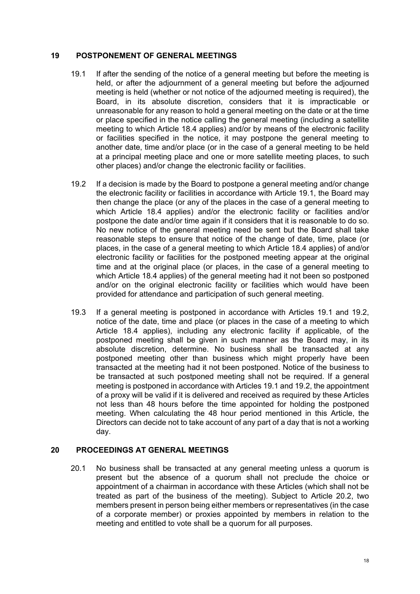#### **19 POSTPONEMENT OF GENERAL MEETINGS**

- <span id="page-20-0"></span>19.1 If after the sending of the notice of a general meeting but before the meeting is held, or after the adjournment of a general meeting but before the adjourned meeting is held (whether or not notice of the adjourned meeting is required), the Board, in its absolute discretion, considers that it is impracticable or unreasonable for any reason to hold a general meeting on the date or at the time or place specified in the notice calling the general meeting (including a satellite meeting to which Article [18.4](#page-19-0) applies) and/or by means of the electronic facility or facilities specified in the notice, it may postpone the general meeting to another date, time and/or place (or in the case of a general meeting to be held at a principal meeting place and one or more satellite meeting places, to such other places) and/or change the electronic facility or facilities.
- <span id="page-20-1"></span>19.2 If a decision is made by the Board to postpone a general meeting and/or change the electronic facility or facilities in accordance with Article [19.1,](#page-20-0) the Board may then change the place (or any of the places in the case of a general meeting to which Article [18.4](#page-19-0) applies) and/or the electronic facility or facilities and/or postpone the date and/or time again if it considers that it is reasonable to do so. No new notice of the general meeting need be sent but the Board shall take reasonable steps to ensure that notice of the change of date, time, place (or places, in the case of a general meeting to which Article [18.4](#page-19-0) applies) of and/or electronic facility or facilities for the postponed meeting appear at the original time and at the original place (or places, in the case of a general meeting to which Article [18.4](#page-19-0) applies) of the general meeting had it not been so postponed and/or on the original electronic facility or facilities which would have been provided for attendance and participation of such general meeting.
- 19.3 If a general meeting is postponed in accordance with Articles [19.1](#page-20-0) and [19.2](#page-20-1), notice of the date, time and place (or places in the case of a meeting to which Article [18.4](#page-19-0) applies), including any electronic facility if applicable, of the postponed meeting shall be given in such manner as the Board may, in its absolute discretion, determine. No business shall be transacted at any postponed meeting other than business which might properly have been transacted at the meeting had it not been postponed. Notice of the business to be transacted at such postponed meeting shall not be required. If a general meeting is postponed in accordance with Articles [19.1](#page-20-0) and [19.2](#page-20-1), the appointment of a proxy will be valid if it is delivered and received as required by these Articles not less than 48 hours before the time appointed for holding the postponed meeting. When calculating the 48 hour period mentioned in this Article, the Directors can decide not to take account of any part of a day that is not a working day.

### **20 PROCEEDINGS AT GENERAL MEETINGS**

20.1 No business shall be transacted at any general meeting unless a quorum is present but the absence of a quorum shall not preclude the choice or appointment of a chairman in accordance with these Articles (which shall not be treated as part of the business of the meeting). Subject to Article [20.2](#page-21-3), two members present in person being either members or representatives (in the case of a corporate member) or proxies appointed by members in relation to the meeting and entitled to vote shall be a quorum for all purposes.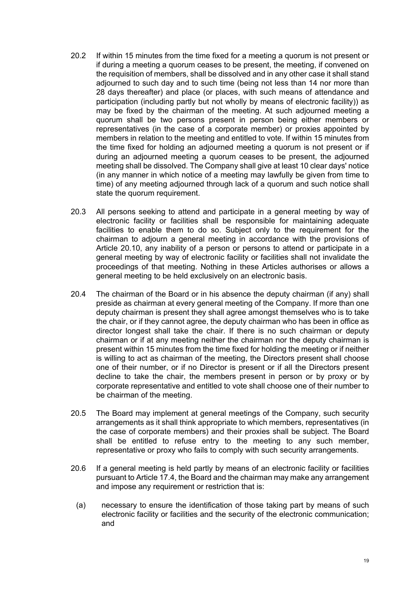- <span id="page-21-3"></span>20.2 If within 15 minutes from the time fixed for a meeting a quorum is not present or if during a meeting a quorum ceases to be present, the meeting, if convened on the requisition of members, shall be dissolved and in any other case it shall stand adjourned to such day and to such time (being not less than 14 nor more than 28 days thereafter) and place (or places, with such means of attendance and participation (including partly but not wholly by means of electronic facility)) as may be fixed by the chairman of the meeting. At such adjourned meeting a quorum shall be two persons present in person being either members or representatives (in the case of a corporate member) or proxies appointed by members in relation to the meeting and entitled to vote. If within 15 minutes from the time fixed for holding an adjourned meeting a quorum is not present or if during an adjourned meeting a quorum ceases to be present, the adjourned meeting shall be dissolved. The Company shall give at least 10 clear days' notice (in any manner in which notice of a meeting may lawfully be given from time to time) of any meeting adjourned through lack of a quorum and such notice shall state the quorum requirement.
- <span id="page-21-0"></span>20.3 All persons seeking to attend and participate in a general meeting by way of electronic facility or facilities shall be responsible for maintaining adequate facilities to enable them to do so. Subject only to the requirement for the chairman to adjourn a general meeting in accordance with the provisions of Article [20.10,](#page-22-0) any inability of a person or persons to attend or participate in a general meeting by way of electronic facility or facilities shall not invalidate the proceedings of that meeting. Nothing in these Articles authorises or allows a general meeting to be held exclusively on an electronic basis.
- 20.4 The chairman of the Board or in his absence the deputy chairman (if any) shall preside as chairman at every general meeting of the Company. If more than one deputy chairman is present they shall agree amongst themselves who is to take the chair, or if they cannot agree, the deputy chairman who has been in office as director longest shall take the chair. If there is no such chairman or deputy chairman or if at any meeting neither the chairman nor the deputy chairman is present within 15 minutes from the time fixed for holding the meeting or if neither is willing to act as chairman of the meeting, the Directors present shall choose one of their number, or if no Director is present or if all the Directors present decline to take the chair, the members present in person or by proxy or by corporate representative and entitled to vote shall choose one of their number to be chairman of the meeting.
- <span id="page-21-1"></span>20.5 The Board may implement at general meetings of the Company, such security arrangements as it shall think appropriate to which members, representatives (in the case of corporate members) and their proxies shall be subject. The Board shall be entitled to refuse entry to the meeting to any such member, representative or proxy who fails to comply with such security arrangements.
- <span id="page-21-2"></span>20.6 If a general meeting is held partly by means of an electronic facility or facilities pursuant to Article [17.4](#page-17-0), the Board and the chairman may make any arrangement and impose any requirement or restriction that is:
	- (a) necessary to ensure the identification of those taking part by means of such electronic facility or facilities and the security of the electronic communication; and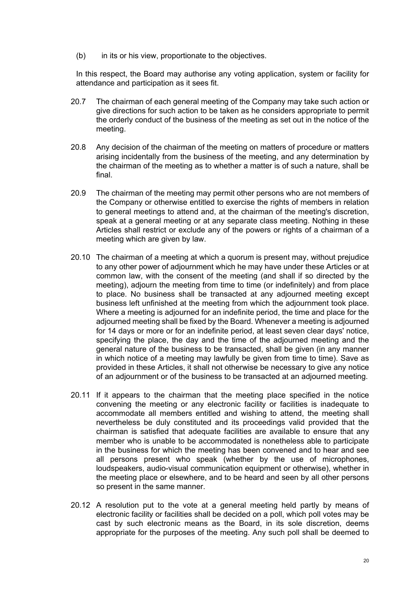(b) in its or his view, proportionate to the objectives.

In this respect, the Board may authorise any voting application, system or facility for attendance and participation as it sees fit.

- 20.7 The chairman of each general meeting of the Company may take such action or give directions for such action to be taken as he considers appropriate to permit the orderly conduct of the business of the meeting as set out in the notice of the meeting.
- 20.8 Any decision of the chairman of the meeting on matters of procedure or matters arising incidentally from the business of the meeting, and any determination by the chairman of the meeting as to whether a matter is of such a nature, shall be final.
- 20.9 The chairman of the meeting may permit other persons who are not members of the Company or otherwise entitled to exercise the rights of members in relation to general meetings to attend and, at the chairman of the meeting's discretion, speak at a general meeting or at any separate class meeting. Nothing in these Articles shall restrict or exclude any of the powers or rights of a chairman of a meeting which are given by law.
- <span id="page-22-0"></span>20.10 The chairman of a meeting at which a quorum is present may, without prejudice to any other power of adjournment which he may have under these Articles or at common law, with the consent of the meeting (and shall if so directed by the meeting), adjourn the meeting from time to time (or indefinitely) and from place to place. No business shall be transacted at any adjourned meeting except business left unfinished at the meeting from which the adjournment took place. Where a meeting is adjourned for an indefinite period, the time and place for the adjourned meeting shall be fixed by the Board. Whenever a meeting is adjourned for 14 days or more or for an indefinite period, at least seven clear days' notice, specifying the place, the day and the time of the adjourned meeting and the general nature of the business to be transacted, shall be given (in any manner in which notice of a meeting may lawfully be given from time to time). Save as provided in these Articles, it shall not otherwise be necessary to give any notice of an adjournment or of the business to be transacted at an adjourned meeting.
- 20.11 If it appears to the chairman that the meeting place specified in the notice convening the meeting or any electronic facility or facilities is inadequate to accommodate all members entitled and wishing to attend, the meeting shall nevertheless be duly constituted and its proceedings valid provided that the chairman is satisfied that adequate facilities are available to ensure that any member who is unable to be accommodated is nonetheless able to participate in the business for which the meeting has been convened and to hear and see all persons present who speak (whether by the use of microphones, loudspeakers, audio-visual communication equipment or otherwise), whether in the meeting place or elsewhere, and to be heard and seen by all other persons so present in the same manner.
- 20.12 A resolution put to the vote at a general meeting held partly by means of electronic facility or facilities shall be decided on a poll, which poll votes may be cast by such electronic means as the Board, in its sole discretion, deems appropriate for the purposes of the meeting. Any such poll shall be deemed to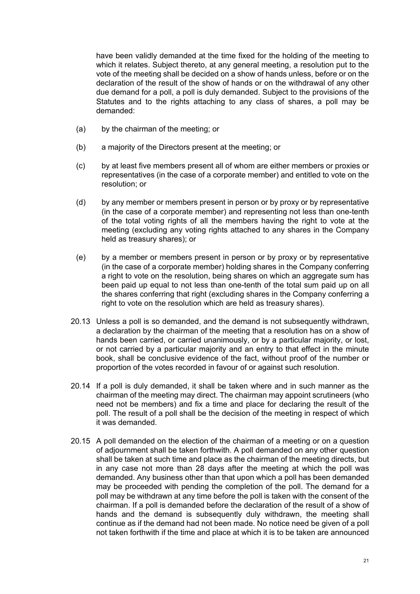have been validly demanded at the time fixed for the holding of the meeting to which it relates. Subject thereto, at any general meeting, a resolution put to the vote of the meeting shall be decided on a show of hands unless, before or on the declaration of the result of the show of hands or on the withdrawal of any other due demand for a poll, a poll is duly demanded. Subject to the provisions of the Statutes and to the rights attaching to any class of shares, a poll may be demanded:

- (a) by the chairman of the meeting; or
- (b) a majority of the Directors present at the meeting; or
- (c) by at least five members present all of whom are either members or proxies or representatives (in the case of a corporate member) and entitled to vote on the resolution; or
- (d) by any member or members present in person or by proxy or by representative (in the case of a corporate member) and representing not less than one-tenth of the total voting rights of all the members having the right to vote at the meeting (excluding any voting rights attached to any shares in the Company held as treasury shares); or
- (e) by a member or members present in person or by proxy or by representative (in the case of a corporate member) holding shares in the Company conferring a right to vote on the resolution, being shares on which an aggregate sum has been paid up equal to not less than one-tenth of the total sum paid up on all the shares conferring that right (excluding shares in the Company conferring a right to vote on the resolution which are held as treasury shares).
- 20.13 Unless a poll is so demanded, and the demand is not subsequently withdrawn, a declaration by the chairman of the meeting that a resolution has on a show of hands been carried, or carried unanimously, or by a particular majority, or lost, or not carried by a particular majority and an entry to that effect in the minute book, shall be conclusive evidence of the fact, without proof of the number or proportion of the votes recorded in favour of or against such resolution.
- 20.14 If a poll is duly demanded, it shall be taken where and in such manner as the chairman of the meeting may direct. The chairman may appoint scrutineers (who need not be members) and fix a time and place for declaring the result of the poll. The result of a poll shall be the decision of the meeting in respect of which it was demanded.
- 20.15 A poll demanded on the election of the chairman of a meeting or on a question of adjournment shall be taken forthwith. A poll demanded on any other question shall be taken at such time and place as the chairman of the meeting directs, but in any case not more than 28 days after the meeting at which the poll was demanded. Any business other than that upon which a poll has been demanded may be proceeded with pending the completion of the poll. The demand for a poll may be withdrawn at any time before the poll is taken with the consent of the chairman. If a poll is demanded before the declaration of the result of a show of hands and the demand is subsequently duly withdrawn, the meeting shall continue as if the demand had not been made. No notice need be given of a poll not taken forthwith if the time and place at which it is to be taken are announced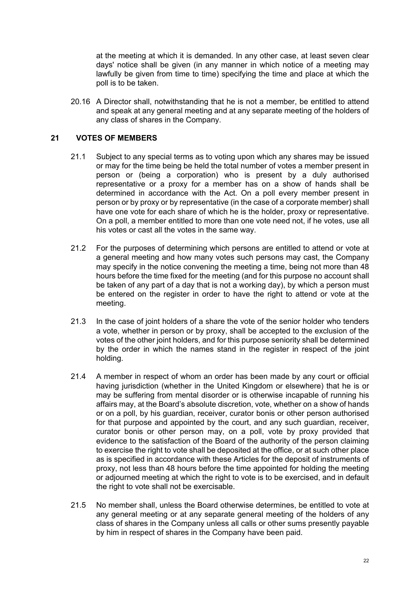at the meeting at which it is demanded. In any other case, at least seven clear days' notice shall be given (in any manner in which notice of a meeting may lawfully be given from time to time) specifying the time and place at which the poll is to be taken.

20.16 A Director shall, notwithstanding that he is not a member, be entitled to attend and speak at any general meeting and at any separate meeting of the holders of any class of shares in the Company.

# **21 VOTES OF MEMBERS**

- 21.1 Subject to any special terms as to voting upon which any shares may be issued or may for the time being be held the total number of votes a member present in person or (being a corporation) who is present by a duly authorised representative or a proxy for a member has on a show of hands shall be determined in accordance with the Act. On a poll every member present in person or by proxy or by representative (in the case of a corporate member) shall have one vote for each share of which he is the holder, proxy or representative. On a poll, a member entitled to more than one vote need not, if he votes, use all his votes or cast all the votes in the same way.
- 21.2 For the purposes of determining which persons are entitled to attend or vote at a general meeting and how many votes such persons may cast, the Company may specify in the notice convening the meeting a time, being not more than 48 hours before the time fixed for the meeting (and for this purpose no account shall be taken of any part of a day that is not a working day), by which a person must be entered on the register in order to have the right to attend or vote at the meeting.
- 21.3 In the case of joint holders of a share the vote of the senior holder who tenders a vote, whether in person or by proxy, shall be accepted to the exclusion of the votes of the other joint holders, and for this purpose seniority shall be determined by the order in which the names stand in the register in respect of the joint holding.
- 21.4 A member in respect of whom an order has been made by any court or official having jurisdiction (whether in the United Kingdom or elsewhere) that he is or may be suffering from mental disorder or is otherwise incapable of running his affairs may, at the Board's absolute discretion, vote, whether on a show of hands or on a poll, by his guardian, receiver, curator bonis or other person authorised for that purpose and appointed by the court, and any such guardian, receiver, curator bonis or other person may, on a poll, vote by proxy provided that evidence to the satisfaction of the Board of the authority of the person claiming to exercise the right to vote shall be deposited at the office, or at such other place as is specified in accordance with these Articles for the deposit of instruments of proxy, not less than 48 hours before the time appointed for holding the meeting or adjourned meeting at which the right to vote is to be exercised, and in default the right to vote shall not be exercisable.
- 21.5 No member shall, unless the Board otherwise determines, be entitled to vote at any general meeting or at any separate general meeting of the holders of any class of shares in the Company unless all calls or other sums presently payable by him in respect of shares in the Company have been paid.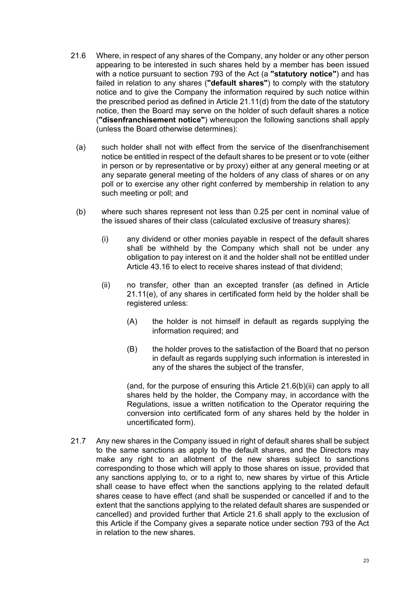- <span id="page-25-1"></span>21.6 Where, in respect of any shares of the Company, any holder or any other person appearing to be interested in such shares held by a member has been issued with a notice pursuant to section 793 of the Act (a **"statutory notice"**) and has failed in relation to any shares (**"default shares"**) to comply with the statutory notice and to give the Company the information required by such notice within the prescribed period as defined in Article [21.11\(d\)](#page-26-0) from the date of the statutory notice, then the Board may serve on the holder of such default shares a notice (**"disenfranchisement notice"**) whereupon the following sanctions shall apply (unless the Board otherwise determines):
	- (a) such holder shall not with effect from the service of the disenfranchisement notice be entitled in respect of the default shares to be present or to vote (either in person or by representative or by proxy) either at any general meeting or at any separate general meeting of the holders of any class of shares or on any poll or to exercise any other right conferred by membership in relation to any such meeting or poll; and
	- (b) where such shares represent not less than 0.25 per cent in nominal value of the issued shares of their class (calculated exclusive of treasury shares):
		- (i) any dividend or other monies payable in respect of the default shares shall be withheld by the Company which shall not be under any obligation to pay interest on it and the holder shall not be entitled under Article [43.16](#page-50-0) to elect to receive shares instead of that dividend;
		- (ii) no transfer, other than an excepted transfer (as defined in Article [21.11\(e\),](#page-27-0) of any shares in certificated form held by the holder shall be registered unless:
			- (A) the holder is not himself in default as regards supplying the information required; and
			- (B) the holder proves to the satisfaction of the Board that no person in default as regards supplying such information is interested in any of the shares the subject of the transfer,

<span id="page-25-0"></span>(and, for the purpose of ensuring this Article [21.6\(b\)\(ii\)](#page-25-0) can apply to all shares held by the holder, the Company may, in accordance with the Regulations, issue a written notification to the Operator requiring the conversion into certificated form of any shares held by the holder in uncertificated form).

21.7 Any new shares in the Company issued in right of default shares shall be subject to the same sanctions as apply to the default shares, and the Directors may make any right to an allotment of the new shares subject to sanctions corresponding to those which will apply to those shares on issue, provided that any sanctions applying to, or to a right to, new shares by virtue of this Article shall cease to have effect when the sanctions applying to the related default shares cease to have effect (and shall be suspended or cancelled if and to the extent that the sanctions applying to the related default shares are suspended or cancelled) and provided further that Article [21.6](#page-25-1) shall apply to the exclusion of this Article if the Company gives a separate notice under section 793 of the Act in relation to the new shares.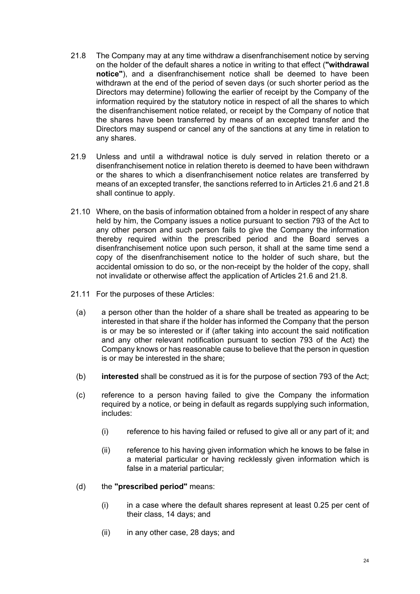- <span id="page-26-1"></span>21.8 The Company may at any time withdraw a disenfranchisement notice by serving on the holder of the default shares a notice in writing to that effect (**"withdrawal notice"**), and a disenfranchisement notice shall be deemed to have been withdrawn at the end of the period of seven days (or such shorter period as the Directors may determine) following the earlier of receipt by the Company of the information required by the statutory notice in respect of all the shares to which the disenfranchisement notice related, or receipt by the Company of notice that the shares have been transferred by means of an excepted transfer and the Directors may suspend or cancel any of the sanctions at any time in relation to any shares.
- 21.9 Unless and until a withdrawal notice is duly served in relation thereto or a disenfranchisement notice in relation thereto is deemed to have been withdrawn or the shares to which a disenfranchisement notice relates are transferred by means of an excepted transfer, the sanctions referred to in Articles [21.6](#page-25-1) and [21.8](#page-26-1) shall continue to apply.
- 21.10 Where, on the basis of information obtained from a holder in respect of any share held by him, the Company issues a notice pursuant to section 793 of the Act to any other person and such person fails to give the Company the information thereby required within the prescribed period and the Board serves a disenfranchisement notice upon such person, it shall at the same time send a copy of the disenfranchisement notice to the holder of such share, but the accidental omission to do so, or the non-receipt by the holder of the copy, shall not invalidate or otherwise affect the application of Articles [21.6](#page-25-1) and [21.8.](#page-26-1)
- <span id="page-26-0"></span>21.11 For the purposes of these Articles:
	- (a) a person other than the holder of a share shall be treated as appearing to be interested in that share if the holder has informed the Company that the person is or may be so interested or if (after taking into account the said notification and any other relevant notification pursuant to section 793 of the Act) the Company knows or has reasonable cause to believe that the person in question is or may be interested in the share;
	- (b) **interested** shall be construed as it is for the purpose of section 793 of the Act;
	- (c) reference to a person having failed to give the Company the information required by a notice, or being in default as regards supplying such information, includes:
		- (i) reference to his having failed or refused to give all or any part of it; and
		- (ii) reference to his having given information which he knows to be false in a material particular or having recklessly given information which is false in a material particular;
	- (d) the **"prescribed period"** means:
		- $(i)$  in a case where the default shares represent at least 0.25 per cent of their class, 14 days; and
		- (ii) in any other case, 28 days; and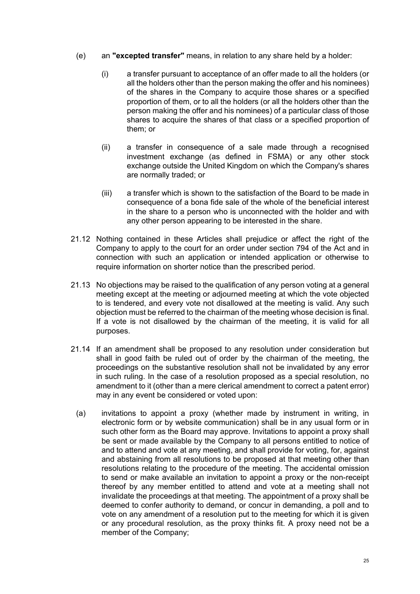- <span id="page-27-0"></span>(e) an **"excepted transfer"** means, in relation to any share held by a holder:
	- (i) a transfer pursuant to acceptance of an offer made to all the holders (or all the holders other than the person making the offer and his nominees) of the shares in the Company to acquire those shares or a specified proportion of them, or to all the holders (or all the holders other than the person making the offer and his nominees) of a particular class of those shares to acquire the shares of that class or a specified proportion of them; or
	- (ii) a transfer in consequence of a sale made through a recognised investment exchange (as defined in FSMA) or any other stock exchange outside the United Kingdom on which the Company's shares are normally traded; or
	- (iii) a transfer which is shown to the satisfaction of the Board to be made in consequence of a bona fide sale of the whole of the beneficial interest in the share to a person who is unconnected with the holder and with any other person appearing to be interested in the share.
- 21.12 Nothing contained in these Articles shall prejudice or affect the right of the Company to apply to the court for an order under section 794 of the Act and in connection with such an application or intended application or otherwise to require information on shorter notice than the prescribed period.
- 21.13 No objections may be raised to the qualification of any person voting at a general meeting except at the meeting or adjourned meeting at which the vote objected to is tendered, and every vote not disallowed at the meeting is valid. Any such objection must be referred to the chairman of the meeting whose decision is final. If a vote is not disallowed by the chairman of the meeting, it is valid for all purposes.
- 21.14 If an amendment shall be proposed to any resolution under consideration but shall in good faith be ruled out of order by the chairman of the meeting, the proceedings on the substantive resolution shall not be invalidated by any error in such ruling. In the case of a resolution proposed as a special resolution, no amendment to it (other than a mere clerical amendment to correct a patent error) may in any event be considered or voted upon:
	- (a) invitations to appoint a proxy (whether made by instrument in writing, in electronic form or by website communication) shall be in any usual form or in such other form as the Board may approve. Invitations to appoint a proxy shall be sent or made available by the Company to all persons entitled to notice of and to attend and vote at any meeting, and shall provide for voting, for, against and abstaining from all resolutions to be proposed at that meeting other than resolutions relating to the procedure of the meeting. The accidental omission to send or make available an invitation to appoint a proxy or the non-receipt thereof by any member entitled to attend and vote at a meeting shall not invalidate the proceedings at that meeting. The appointment of a proxy shall be deemed to confer authority to demand, or concur in demanding, a poll and to vote on any amendment of a resolution put to the meeting for which it is given or any procedural resolution, as the proxy thinks fit. A proxy need not be a member of the Company;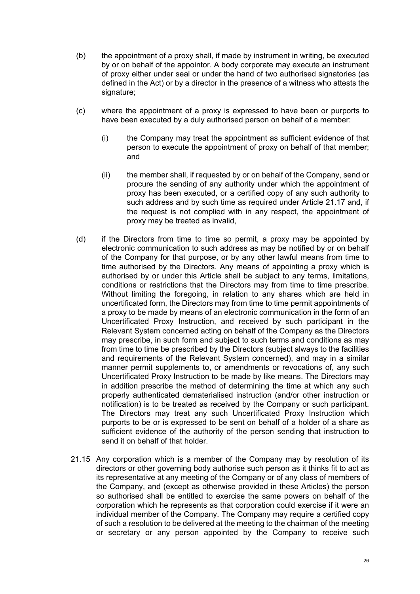- (b) the appointment of a proxy shall, if made by instrument in writing, be executed by or on behalf of the appointor. A body corporate may execute an instrument of proxy either under seal or under the hand of two authorised signatories (as defined in the Act) or by a director in the presence of a witness who attests the signature;
- (c) where the appointment of a proxy is expressed to have been or purports to have been executed by a duly authorised person on behalf of a member:
	- (i) the Company may treat the appointment as sufficient evidence of that person to execute the appointment of proxy on behalf of that member; and
	- (ii) the member shall, if requested by or on behalf of the Company, send or procure the sending of any authority under which the appointment of proxy has been executed, or a certified copy of any such authority to such address and by such time as required under Article [21.17](#page-29-0) and, if the request is not complied with in any respect, the appointment of proxy may be treated as invalid,
- (d) if the Directors from time to time so permit, a proxy may be appointed by electronic communication to such address as may be notified by or on behalf of the Company for that purpose, or by any other lawful means from time to time authorised by the Directors. Any means of appointing a proxy which is authorised by or under this Article shall be subject to any terms, limitations, conditions or restrictions that the Directors may from time to time prescribe. Without limiting the foregoing, in relation to any shares which are held in uncertificated form, the Directors may from time to time permit appointments of a proxy to be made by means of an electronic communication in the form of an Uncertificated Proxy Instruction, and received by such participant in the Relevant System concerned acting on behalf of the Company as the Directors may prescribe, in such form and subject to such terms and conditions as may from time to time be prescribed by the Directors (subject always to the facilities and requirements of the Relevant System concerned), and may in a similar manner permit supplements to, or amendments or revocations of, any such Uncertificated Proxy Instruction to be made by like means. The Directors may in addition prescribe the method of determining the time at which any such properly authenticated dematerialised instruction (and/or other instruction or notification) is to be treated as received by the Company or such participant. The Directors may treat any such Uncertificated Proxy Instruction which purports to be or is expressed to be sent on behalf of a holder of a share as sufficient evidence of the authority of the person sending that instruction to send it on behalf of that holder.
- 21.15 Any corporation which is a member of the Company may by resolution of its directors or other governing body authorise such person as it thinks fit to act as its representative at any meeting of the Company or of any class of members of the Company, and (except as otherwise provided in these Articles) the person so authorised shall be entitled to exercise the same powers on behalf of the corporation which he represents as that corporation could exercise if it were an individual member of the Company. The Company may require a certified copy of such a resolution to be delivered at the meeting to the chairman of the meeting or secretary or any person appointed by the Company to receive such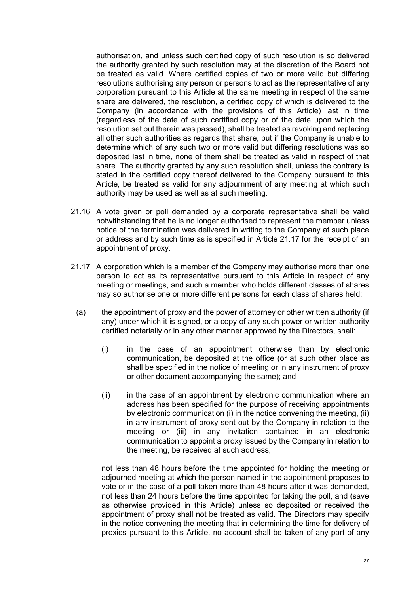authorisation, and unless such certified copy of such resolution is so delivered the authority granted by such resolution may at the discretion of the Board not be treated as valid. Where certified copies of two or more valid but differing resolutions authorising any person or persons to act as the representative of any corporation pursuant to this Article at the same meeting in respect of the same share are delivered, the resolution, a certified copy of which is delivered to the Company (in accordance with the provisions of this Article) last in time (regardless of the date of such certified copy or of the date upon which the resolution set out therein was passed), shall be treated as revoking and replacing all other such authorities as regards that share, but if the Company is unable to determine which of any such two or more valid but differing resolutions was so deposited last in time, none of them shall be treated as valid in respect of that share. The authority granted by any such resolution shall, unless the contrary is stated in the certified copy thereof delivered to the Company pursuant to this Article, be treated as valid for any adjournment of any meeting at which such authority may be used as well as at such meeting.

- 21.16 A vote given or poll demanded by a corporate representative shall be valid notwithstanding that he is no longer authorised to represent the member unless notice of the termination was delivered in writing to the Company at such place or address and by such time as is specified in Article [21.17](#page-29-0) for the receipt of an appointment of proxy.
- <span id="page-29-1"></span><span id="page-29-0"></span>21.17 A corporation which is a member of the Company may authorise more than one person to act as its representative pursuant to this Article in respect of any meeting or meetings, and such a member who holds different classes of shares may so authorise one or more different persons for each class of shares held:
	- (a) the appointment of proxy and the power of attorney or other written authority (if any) under which it is signed, or a copy of any such power or written authority certified notarially or in any other manner approved by the Directors, shall:
		- (i) in the case of an appointment otherwise than by electronic communication, be deposited at the office (or at such other place as shall be specified in the notice of meeting or in any instrument of proxy or other document accompanying the same); and
		- (ii) in the case of an appointment by electronic communication where an address has been specified for the purpose of receiving appointments by electronic communication (i) in the notice convening the meeting, (ii) in any instrument of proxy sent out by the Company in relation to the meeting or (iii) in any invitation contained in an electronic communication to appoint a proxy issued by the Company in relation to the meeting, be received at such address,

not less than 48 hours before the time appointed for holding the meeting or adjourned meeting at which the person named in the appointment proposes to vote or in the case of a poll taken more than 48 hours after it was demanded, not less than 24 hours before the time appointed for taking the poll, and (save as otherwise provided in this Article) unless so deposited or received the appointment of proxy shall not be treated as valid. The Directors may specify in the notice convening the meeting that in determining the time for delivery of proxies pursuant to this Article, no account shall be taken of any part of any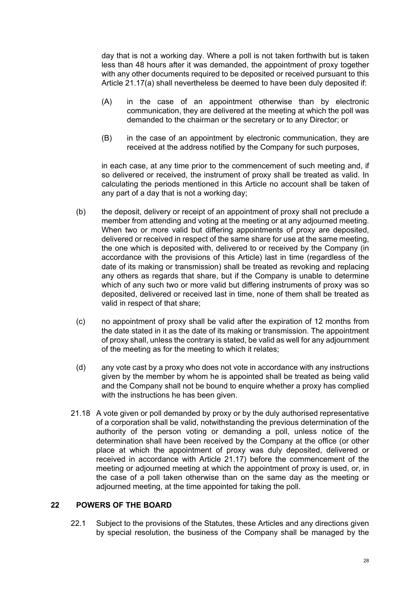day that is not a working day. Where a poll is not taken forthwith but is taken less than 48 hours after it was demanded, the appointment of proxy together with any other documents required to be deposited or received pursuant to this Article [21.17\(a\)](#page-29-1) shall nevertheless be deemed to have been duly deposited if:

- (A) in the case of an appointment otherwise than by electronic communication, they are delivered at the meeting at which the poll was demanded to the chairman or the secretary or to any Director; or
- (B) in the case of an appointment by electronic communication, they are received at the address notified by the Company for such purposes,

in each case, at any time prior to the commencement of such meeting and, if so delivered or received, the instrument of proxy shall be treated as valid. In calculating the periods mentioned in this Article no account shall be taken of any part of a day that is not a working day;

- (b) the deposit, delivery or receipt of an appointment of proxy shall not preclude a member from attending and voting at the meeting or at any adjourned meeting. When two or more valid but differing appointments of proxy are deposited, delivered or received in respect of the same share for use at the same meeting, the one which is deposited with, delivered to or received by the Company (in accordance with the provisions of this Article) last in time (regardless of the date of its making or transmission) shall be treated as revoking and replacing any others as regards that share, but if the Company is unable to determine which of any such two or more valid but differing instruments of proxy was so deposited, delivered or received last in time, none of them shall be treated as valid in respect of that share;
- (c) no appointment of proxy shall be valid after the expiration of 12 months from the date stated in it as the date of its making or transmission. The appointment of proxy shall, unless the contrary is stated, be valid as well for any adjournment of the meeting as for the meeting to which it relates;
- (d) any vote cast by a proxy who does not vote in accordance with any instructions given by the member by whom he is appointed shall be treated as being valid and the Company shall not be bound to enquire whether a proxy has complied with the instructions he has been given.
- 21.18 A vote given or poll demanded by proxy or by the duly authorised representative of a corporation shall be valid, notwithstanding the previous determination of the authority of the person voting or demanding a poll, unless notice of the determination shall have been received by the Company at the office (or other place at which the appointment of proxy was duly deposited, delivered or received in accordance with Article [21.17\)](#page-29-0) before the commencement of the meeting or adjourned meeting at which the appointment of proxy is used, or, in the case of a poll taken otherwise than on the same day as the meeting or adjourned meeting, at the time appointed for taking the poll.

## **22 POWERS OF THE BOARD**

22.1 Subject to the provisions of the Statutes, these Articles and any directions given by special resolution, the business of the Company shall be managed by the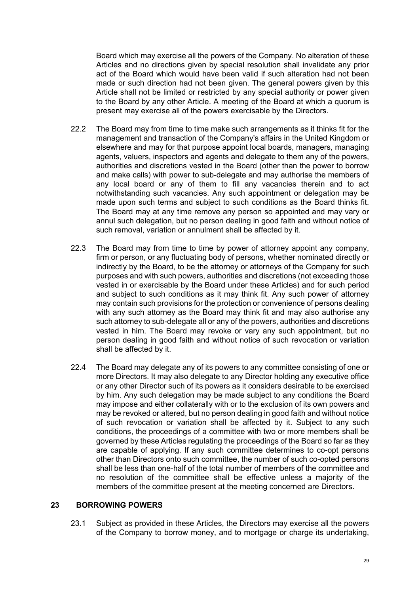Board which may exercise all the powers of the Company. No alteration of these Articles and no directions given by special resolution shall invalidate any prior act of the Board which would have been valid if such alteration had not been made or such direction had not been given. The general powers given by this Article shall not be limited or restricted by any special authority or power given to the Board by any other Article. A meeting of the Board at which a quorum is present may exercise all of the powers exercisable by the Directors.

- 22.2 The Board may from time to time make such arrangements as it thinks fit for the management and transaction of the Company's affairs in the United Kingdom or elsewhere and may for that purpose appoint local boards, managers, managing agents, valuers, inspectors and agents and delegate to them any of the powers, authorities and discretions vested in the Board (other than the power to borrow and make calls) with power to sub-delegate and may authorise the members of any local board or any of them to fill any vacancies therein and to act notwithstanding such vacancies. Any such appointment or delegation may be made upon such terms and subject to such conditions as the Board thinks fit. The Board may at any time remove any person so appointed and may vary or annul such delegation, but no person dealing in good faith and without notice of such removal, variation or annulment shall be affected by it.
- 22.3 The Board may from time to time by power of attorney appoint any company, firm or person, or any fluctuating body of persons, whether nominated directly or indirectly by the Board, to be the attorney or attorneys of the Company for such purposes and with such powers, authorities and discretions (not exceeding those vested in or exercisable by the Board under these Articles) and for such period and subject to such conditions as it may think fit. Any such power of attorney may contain such provisions for the protection or convenience of persons dealing with any such attorney as the Board may think fit and may also authorise any such attorney to sub-delegate all or any of the powers, authorities and discretions vested in him. The Board may revoke or vary any such appointment, but no person dealing in good faith and without notice of such revocation or variation shall be affected by it.
- <span id="page-31-1"></span>22.4 The Board may delegate any of its powers to any committee consisting of one or more Directors. It may also delegate to any Director holding any executive office or any other Director such of its powers as it considers desirable to be exercised by him. Any such delegation may be made subject to any conditions the Board may impose and either collaterally with or to the exclusion of its own powers and may be revoked or altered, but no person dealing in good faith and without notice of such revocation or variation shall be affected by it. Subject to any such conditions, the proceedings of a committee with two or more members shall be governed by these Articles regulating the proceedings of the Board so far as they are capable of applying. If any such committee determines to co-opt persons other than Directors onto such committee, the number of such co-opted persons shall be less than one-half of the total number of members of the committee and no resolution of the committee shall be effective unless a majority of the members of the committee present at the meeting concerned are Directors.

### <span id="page-31-0"></span>**23 BORROWING POWERS**

23.1 Subject as provided in these Articles, the Directors may exercise all the powers of the Company to borrow money, and to mortgage or charge its undertaking,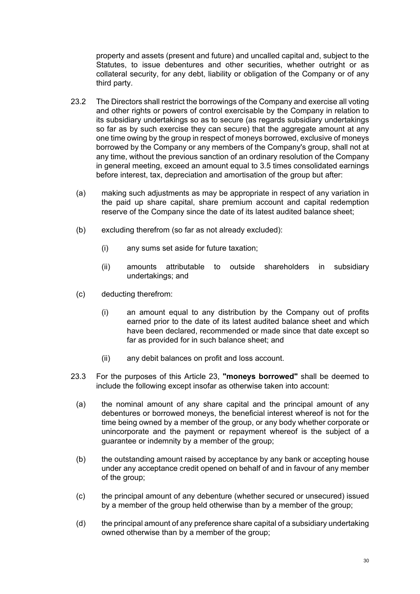property and assets (present and future) and uncalled capital and, subject to the Statutes, to issue debentures and other securities, whether outright or as collateral security, for any debt, liability or obligation of the Company or of any third party.

- <span id="page-32-0"></span>23.2 The Directors shall restrict the borrowings of the Company and exercise all voting and other rights or powers of control exercisable by the Company in relation to its subsidiary undertakings so as to secure (as regards subsidiary undertakings so far as by such exercise they can secure) that the aggregate amount at any one time owing by the group in respect of moneys borrowed, exclusive of moneys borrowed by the Company or any members of the Company's group, shall not at any time, without the previous sanction of an ordinary resolution of the Company in general meeting, exceed an amount equal to 3.5 times consolidated earnings before interest, tax, depreciation and amortisation of the group but after:
	- (a) making such adjustments as may be appropriate in respect of any variation in the paid up share capital, share premium account and capital redemption reserve of the Company since the date of its latest audited balance sheet;
	- (b) excluding therefrom (so far as not already excluded):
		- (i) any sums set aside for future taxation;
		- (ii) amounts attributable to outside shareholders in subsidiary undertakings; and
	- (c) deducting therefrom:
		- (i) an amount equal to any distribution by the Company out of profits earned prior to the date of its latest audited balance sheet and which have been declared, recommended or made since that date except so far as provided for in such balance sheet; and
		- (ii) any debit balances on profit and loss account.
- 23.3 For the purposes of this Article [23](#page-31-0), **"moneys borrowed"** shall be deemed to include the following except insofar as otherwise taken into account:
	- (a) the nominal amount of any share capital and the principal amount of any debentures or borrowed moneys, the beneficial interest whereof is not for the time being owned by a member of the group, or any body whether corporate or unincorporate and the payment or repayment whereof is the subject of a guarantee or indemnity by a member of the group;
	- (b) the outstanding amount raised by acceptance by any bank or accepting house under any acceptance credit opened on behalf of and in favour of any member of the group;
	- (c) the principal amount of any debenture (whether secured or unsecured) issued by a member of the group held otherwise than by a member of the group;
	- (d) the principal amount of any preference share capital of a subsidiary undertaking owned otherwise than by a member of the group;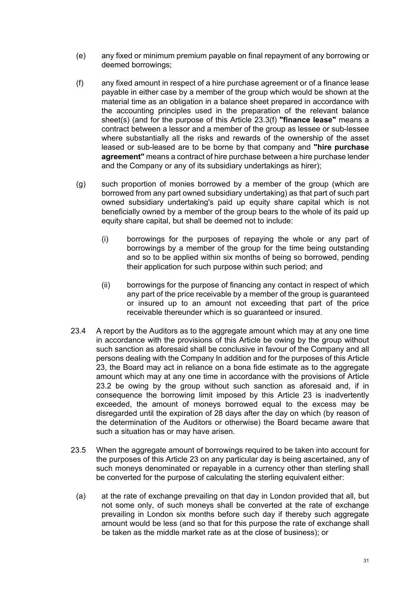- (e) any fixed or minimum premium payable on final repayment of any borrowing or deemed borrowings;
- <span id="page-33-0"></span>(f) any fixed amount in respect of a hire purchase agreement or of a finance lease payable in either case by a member of the group which would be shown at the material time as an obligation in a balance sheet prepared in accordance with the accounting principles used in the preparation of the relevant balance sheet(s) (and for the purpose of this Article [23.3\(f\)](#page-33-0) **"finance lease"** means a contract between a lessor and a member of the group as lessee or sub-lessee where substantially all the risks and rewards of the ownership of the asset leased or sub-leased are to be borne by that company and **"hire purchase agreement"** means a contract of hire purchase between a hire purchase lender and the Company or any of its subsidiary undertakings as hirer);
- (g) such proportion of monies borrowed by a member of the group (which are borrowed from any part owned subsidiary undertaking) as that part of such part owned subsidiary undertaking's paid up equity share capital which is not beneficially owned by a member of the group bears to the whole of its paid up equity share capital, but shall be deemed not to include:
	- (i) borrowings for the purposes of repaying the whole or any part of borrowings by a member of the group for the time being outstanding and so to be applied within six months of being so borrowed, pending their application for such purpose within such period; and
	- (ii) borrowings for the purpose of financing any contact in respect of which any part of the price receivable by a member of the group is guaranteed or insured up to an amount not exceeding that part of the price receivable thereunder which is so guaranteed or insured.
- 23.4 A report by the Auditors as to the aggregate amount which may at any one time in accordance with the provisions of this Article be owing by the group without such sanction as aforesaid shall be conclusive in favour of the Company and all persons dealing with the Company In addition and for the purposes of this Article [23,](#page-31-0) the Board may act in reliance on a bona fide estimate as to the aggregate amount which may at any one time in accordance with the provisions of Article [23.2](#page-32-0) be owing by the group without such sanction as aforesaid and, if in consequence the borrowing limit imposed by this Article [23](#page-31-0) is inadvertently exceeded, the amount of moneys borrowed equal to the excess may be disregarded until the expiration of 28 days after the day on which (by reason of the determination of the Auditors or otherwise) the Board became aware that such a situation has or may have arisen.
- 23.5 When the aggregate amount of borrowings required to be taken into account for the purposes of this Article [23](#page-31-0) on any particular day is being ascertained, any of such moneys denominated or repayable in a currency other than sterling shall be converted for the purpose of calculating the sterling equivalent either:
	- (a) at the rate of exchange prevailing on that day in London provided that all, but not some only, of such moneys shall be converted at the rate of exchange prevailing in London six months before such day if thereby such aggregate amount would be less (and so that for this purpose the rate of exchange shall be taken as the middle market rate as at the close of business); or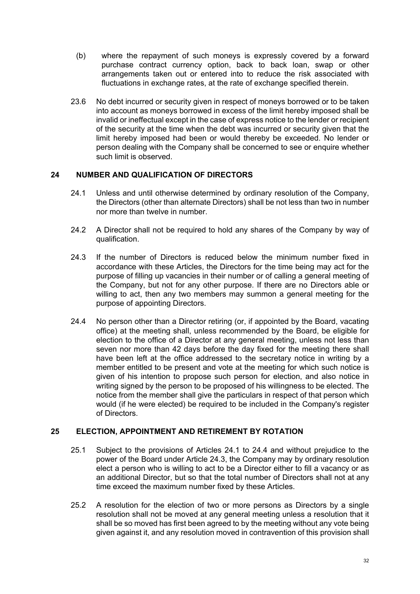- (b) where the repayment of such moneys is expressly covered by a forward purchase contract currency option, back to back loan, swap or other arrangements taken out or entered into to reduce the risk associated with fluctuations in exchange rates, at the rate of exchange specified therein.
- 23.6 No debt incurred or security given in respect of moneys borrowed or to be taken into account as moneys borrowed in excess of the limit hereby imposed shall be invalid or ineffectual except in the case of express notice to the lender or recipient of the security at the time when the debt was incurred or security given that the limit hereby imposed had been or would thereby be exceeded. No lender or person dealing with the Company shall be concerned to see or enquire whether such limit is observed.

# **24 NUMBER AND QUALIFICATION OF DIRECTORS**

- <span id="page-34-0"></span>24.1 Unless and until otherwise determined by ordinary resolution of the Company, the Directors (other than alternate Directors) shall be not less than two in number nor more than twelve in number.
- 24.2 A Director shall not be required to hold any shares of the Company by way of qualification.
- <span id="page-34-2"></span>24.3 If the number of Directors is reduced below the minimum number fixed in accordance with these Articles, the Directors for the time being may act for the purpose of filling up vacancies in their number or of calling a general meeting of the Company, but not for any other purpose. If there are no Directors able or willing to act, then any two members may summon a general meeting for the purpose of appointing Directors.
- <span id="page-34-1"></span>24.4 No person other than a Director retiring (or, if appointed by the Board, vacating office) at the meeting shall, unless recommended by the Board, be eligible for election to the office of a Director at any general meeting, unless not less than seven nor more than 42 days before the day fixed for the meeting there shall have been left at the office addressed to the secretary notice in writing by a member entitled to be present and vote at the meeting for which such notice is given of his intention to propose such person for election, and also notice in writing signed by the person to be proposed of his willingness to be elected. The notice from the member shall give the particulars in respect of that person which would (if he were elected) be required to be included in the Company's register of Directors.

# **25 ELECTION, APPOINTMENT AND RETIREMENT BY ROTATION**

- 25.1 Subject to the provisions of Articles [24.1](#page-34-0) to [24.4](#page-34-1) and without prejudice to the power of the Board under Article [24.3](#page-34-2), the Company may by ordinary resolution elect a person who is willing to act to be a Director either to fill a vacancy or as an additional Director, but so that the total number of Directors shall not at any time exceed the maximum number fixed by these Articles.
- 25.2 A resolution for the election of two or more persons as Directors by a single resolution shall not be moved at any general meeting unless a resolution that it shall be so moved has first been agreed to by the meeting without any vote being given against it, and any resolution moved in contravention of this provision shall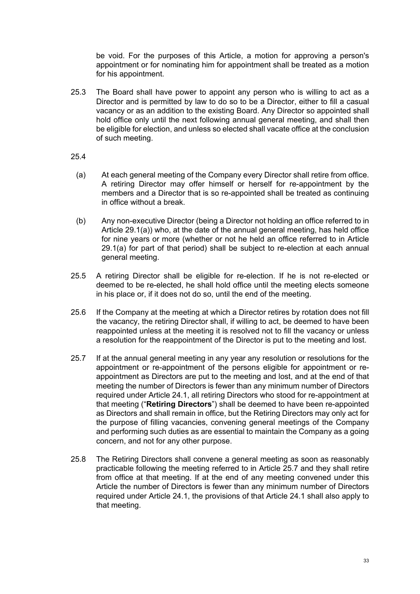be void. For the purposes of this Article, a motion for approving a person's appointment or for nominating him for appointment shall be treated as a motion for his appointment.

- 25.3 The Board shall have power to appoint any person who is willing to act as a Director and is permitted by law to do so to be a Director, either to fill a casual vacancy or as an addition to the existing Board. Any Director so appointed shall hold office only until the next following annual general meeting, and shall then be eligible for election, and unless so elected shall vacate office at the conclusion of such meeting.
- 25.4
	- (a) At each general meeting of the Company every Director shall retire from office. A retiring Director may offer himself or herself for re-appointment by the members and a Director that is so re-appointed shall be treated as continuing in office without a break.
- (b) Any non-executive Director (being a Director not holding an office referred to in Article [29.1\(a\)](#page-38-0)) who, at the date of the annual general meeting, has held office for nine years or more (whether or not he held an office referred to in Article [29.1\(a\)](#page-38-0) for part of that period) shall be subject to re-election at each annual general meeting.
- 25.5 A retiring Director shall be eligible for re-election. If he is not re-elected or deemed to be re-elected, he shall hold office until the meeting elects someone in his place or, if it does not do so, until the end of the meeting.
- 25.6 If the Company at the meeting at which a Director retires by rotation does not fill the vacancy, the retiring Director shall, if willing to act, be deemed to have been reappointed unless at the meeting it is resolved not to fill the vacancy or unless a resolution for the reappointment of the Director is put to the meeting and lost.
- <span id="page-35-0"></span>25.7 If at the annual general meeting in any year any resolution or resolutions for the appointment or re-appointment of the persons eligible for appointment or reappointment as Directors are put to the meeting and lost, and at the end of that meeting the number of Directors is fewer than any minimum number of Directors required under Article [24.1,](#page-34-0) all retiring Directors who stood for re-appointment at that meeting ("**Retiring Directors**") shall be deemed to have been re-appointed as Directors and shall remain in office, but the Retiring Directors may only act for the purpose of filling vacancies, convening general meetings of the Company and performing such duties as are essential to maintain the Company as a going concern, and not for any other purpose.
- 25.8 The Retiring Directors shall convene a general meeting as soon as reasonably practicable following the meeting referred to in Article [25.7](#page-35-0) and they shall retire from office at that meeting. If at the end of any meeting convened under this Article the number of Directors is fewer than any minimum number of Directors required under Article [24.1](#page-34-0), the provisions of that Article [24.1](#page-34-0) shall also apply to that meeting.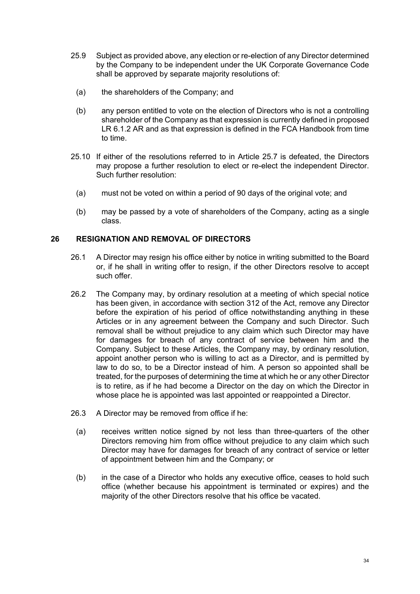- 25.9 Subject as provided above, any election or re-election of any Director determined by the Company to be independent under the UK Corporate Governance Code shall be approved by separate majority resolutions of:
	- (a) the shareholders of the Company; and
	- (b) any person entitled to vote on the election of Directors who is not a controlling shareholder of the Company as that expression is currently defined in proposed LR 6.1.2 AR and as that expression is defined in the FCA Handbook from time to time.
- 25.10 If either of the resolutions referred to in Article [25.7](#page-35-0) is defeated, the Directors may propose a further resolution to elect or re-elect the independent Director. Such further resolution:
	- (a) must not be voted on within a period of 90 days of the original vote; and
	- (b) may be passed by a vote of shareholders of the Company, acting as a single class.

### **26 RESIGNATION AND REMOVAL OF DIRECTORS**

- 26.1 A Director may resign his office either by notice in writing submitted to the Board or, if he shall in writing offer to resign, if the other Directors resolve to accept such offer.
- 26.2 The Company may, by ordinary resolution at a meeting of which special notice has been given, in accordance with section 312 of the Act, remove any Director before the expiration of his period of office notwithstanding anything in these Articles or in any agreement between the Company and such Director. Such removal shall be without prejudice to any claim which such Director may have for damages for breach of any contract of service between him and the Company. Subject to these Articles, the Company may, by ordinary resolution, appoint another person who is willing to act as a Director, and is permitted by law to do so, to be a Director instead of him. A person so appointed shall be treated, for the purposes of determining the time at which he or any other Director is to retire, as if he had become a Director on the day on which the Director in whose place he is appointed was last appointed or reappointed a Director.
- <span id="page-36-0"></span>26.3 A Director may be removed from office if he:
	- (a) receives written notice signed by not less than three-quarters of the other Directors removing him from office without prejudice to any claim which such Director may have for damages for breach of any contract of service or letter of appointment between him and the Company; or
	- (b) in the case of a Director who holds any executive office, ceases to hold such office (whether because his appointment is terminated or expires) and the majority of the other Directors resolve that his office be vacated.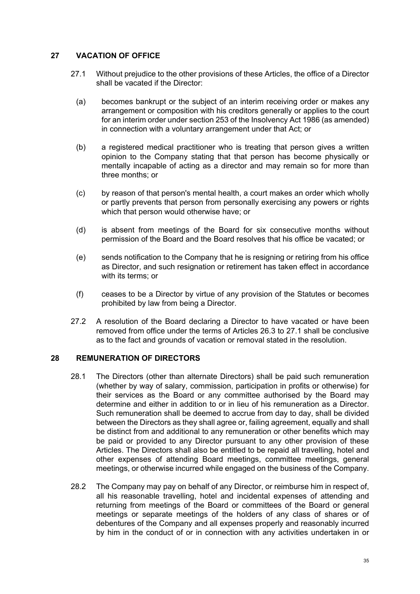## **27 VACATION OF OFFICE**

- <span id="page-37-0"></span>27.1 Without prejudice to the other provisions of these Articles, the office of a Director shall be vacated if the Director:
	- (a) becomes bankrupt or the subject of an interim receiving order or makes any arrangement or composition with his creditors generally or applies to the court for an interim order under section 253 of the Insolvency Act 1986 (as amended) in connection with a voluntary arrangement under that Act; or
	- (b) a registered medical practitioner who is treating that person gives a written opinion to the Company stating that that person has become physically or mentally incapable of acting as a director and may remain so for more than three months; or
	- (c) by reason of that person's mental health, a court makes an order which wholly or partly prevents that person from personally exercising any powers or rights which that person would otherwise have; or
	- (d) is absent from meetings of the Board for six consecutive months without permission of the Board and the Board resolves that his office be vacated; or
	- (e) sends notification to the Company that he is resigning or retiring from his office as Director, and such resignation or retirement has taken effect in accordance with its terms; or
	- (f) ceases to be a Director by virtue of any provision of the Statutes or becomes prohibited by law from being a Director.
- 27.2 A resolution of the Board declaring a Director to have vacated or have been removed from office under the terms of Articles [26.3](#page-36-0) to [27.1](#page-37-0) shall be conclusive as to the fact and grounds of vacation or removal stated in the resolution.

### **28 REMUNERATION OF DIRECTORS**

- 28.1 The Directors (other than alternate Directors) shall be paid such remuneration (whether by way of salary, commission, participation in profits or otherwise) for their services as the Board or any committee authorised by the Board may determine and either in addition to or in lieu of his remuneration as a Director. Such remuneration shall be deemed to accrue from day to day, shall be divided between the Directors as they shall agree or, failing agreement, equally and shall be distinct from and additional to any remuneration or other benefits which may be paid or provided to any Director pursuant to any other provision of these Articles. The Directors shall also be entitled to be repaid all travelling, hotel and other expenses of attending Board meetings, committee meetings, general meetings, or otherwise incurred while engaged on the business of the Company.
- 28.2 The Company may pay on behalf of any Director, or reimburse him in respect of, all his reasonable travelling, hotel and incidental expenses of attending and returning from meetings of the Board or committees of the Board or general meetings or separate meetings of the holders of any class of shares or of debentures of the Company and all expenses properly and reasonably incurred by him in the conduct of or in connection with any activities undertaken in or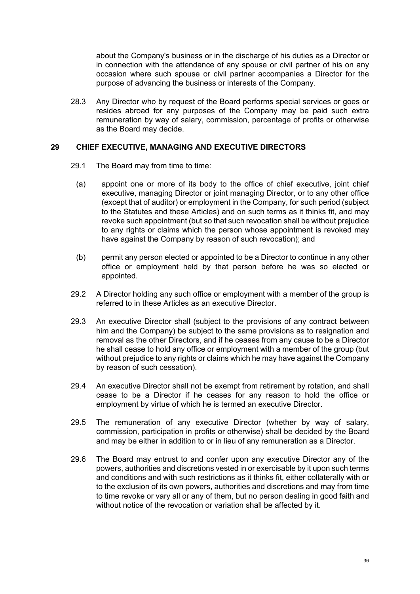about the Company's business or in the discharge of his duties as a Director or in connection with the attendance of any spouse or civil partner of his on any occasion where such spouse or civil partner accompanies a Director for the purpose of advancing the business or interests of the Company.

28.3 Any Director who by request of the Board performs special services or goes or resides abroad for any purposes of the Company may be paid such extra remuneration by way of salary, commission, percentage of profits or otherwise as the Board may decide.

#### **29 CHIEF EXECUTIVE, MANAGING AND EXECUTIVE DIRECTORS**

- <span id="page-38-0"></span>29.1 The Board may from time to time:
	- (a) appoint one or more of its body to the office of chief executive, joint chief executive, managing Director or joint managing Director, or to any other office (except that of auditor) or employment in the Company, for such period (subject to the Statutes and these Articles) and on such terms as it thinks fit, and may revoke such appointment (but so that such revocation shall be without prejudice to any rights or claims which the person whose appointment is revoked may have against the Company by reason of such revocation); and
	- (b) permit any person elected or appointed to be a Director to continue in any other office or employment held by that person before he was so elected or appointed.
- 29.2 A Director holding any such office or employment with a member of the group is referred to in these Articles as an executive Director.
- 29.3 An executive Director shall (subject to the provisions of any contract between him and the Company) be subject to the same provisions as to resignation and removal as the other Directors, and if he ceases from any cause to be a Director he shall cease to hold any office or employment with a member of the group (but without prejudice to any rights or claims which he may have against the Company by reason of such cessation).
- 29.4 An executive Director shall not be exempt from retirement by rotation, and shall cease to be a Director if he ceases for any reason to hold the office or employment by virtue of which he is termed an executive Director.
- 29.5 The remuneration of any executive Director (whether by way of salary, commission, participation in profits or otherwise) shall be decided by the Board and may be either in addition to or in lieu of any remuneration as a Director.
- 29.6 The Board may entrust to and confer upon any executive Director any of the powers, authorities and discretions vested in or exercisable by it upon such terms and conditions and with such restrictions as it thinks fit, either collaterally with or to the exclusion of its own powers, authorities and discretions and may from time to time revoke or vary all or any of them, but no person dealing in good faith and without notice of the revocation or variation shall be affected by it.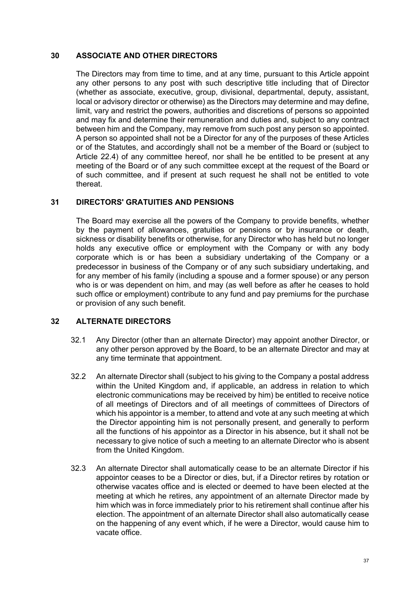### **30 ASSOCIATE AND OTHER DIRECTORS**

The Directors may from time to time, and at any time, pursuant to this Article appoint any other persons to any post with such descriptive title including that of Director (whether as associate, executive, group, divisional, departmental, deputy, assistant, local or advisory director or otherwise) as the Directors may determine and may define, limit, vary and restrict the powers, authorities and discretions of persons so appointed and may fix and determine their remuneration and duties and, subject to any contract between him and the Company, may remove from such post any person so appointed. A person so appointed shall not be a Director for any of the purposes of these Articles or of the Statutes, and accordingly shall not be a member of the Board or (subject to Article [22.4](#page-31-1)) of any committee hereof, nor shall he be entitled to be present at any meeting of the Board or of any such committee except at the request of the Board or of such committee, and if present at such request he shall not be entitled to vote thereat.

### **31 DIRECTORS' GRATUITIES AND PENSIONS**

The Board may exercise all the powers of the Company to provide benefits, whether by the payment of allowances, gratuities or pensions or by insurance or death, sickness or disability benefits or otherwise, for any Director who has held but no longer holds any executive office or employment with the Company or with any body corporate which is or has been a subsidiary undertaking of the Company or a predecessor in business of the Company or of any such subsidiary undertaking, and for any member of his family (including a spouse and a former spouse) or any person who is or was dependent on him, and may (as well before as after he ceases to hold such office or employment) contribute to any fund and pay premiums for the purchase or provision of any such benefit.

### **32 ALTERNATE DIRECTORS**

- 32.1 Any Director (other than an alternate Director) may appoint another Director, or any other person approved by the Board, to be an alternate Director and may at any time terminate that appointment.
- 32.2 An alternate Director shall (subject to his giving to the Company a postal address within the United Kingdom and, if applicable, an address in relation to which electronic communications may be received by him) be entitled to receive notice of all meetings of Directors and of all meetings of committees of Directors of which his appointor is a member, to attend and vote at any such meeting at which the Director appointing him is not personally present, and generally to perform all the functions of his appointor as a Director in his absence, but it shall not be necessary to give notice of such a meeting to an alternate Director who is absent from the United Kingdom.
- 32.3 An alternate Director shall automatically cease to be an alternate Director if his appointor ceases to be a Director or dies, but, if a Director retires by rotation or otherwise vacates office and is elected or deemed to have been elected at the meeting at which he retires, any appointment of an alternate Director made by him which was in force immediately prior to his retirement shall continue after his election. The appointment of an alternate Director shall also automatically cease on the happening of any event which, if he were a Director, would cause him to vacate office.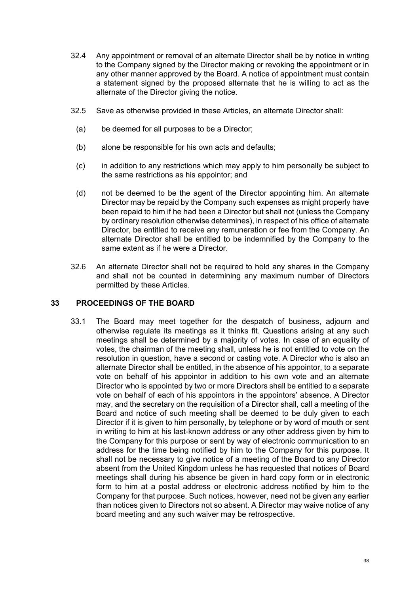- 32.4 Any appointment or removal of an alternate Director shall be by notice in writing to the Company signed by the Director making or revoking the appointment or in any other manner approved by the Board. A notice of appointment must contain a statement signed by the proposed alternate that he is willing to act as the alternate of the Director giving the notice.
- 32.5 Save as otherwise provided in these Articles, an alternate Director shall:
	- (a) be deemed for all purposes to be a Director;
	- (b) alone be responsible for his own acts and defaults;
	- (c) in addition to any restrictions which may apply to him personally be subject to the same restrictions as his appointor; and
	- (d) not be deemed to be the agent of the Director appointing him. An alternate Director may be repaid by the Company such expenses as might properly have been repaid to him if he had been a Director but shall not (unless the Company by ordinary resolution otherwise determines), in respect of his office of alternate Director, be entitled to receive any remuneration or fee from the Company. An alternate Director shall be entitled to be indemnified by the Company to the same extent as if he were a Director.
- 32.6 An alternate Director shall not be required to hold any shares in the Company and shall not be counted in determining any maximum number of Directors permitted by these Articles.

#### **33 PROCEEDINGS OF THE BOARD**

33.1 The Board may meet together for the despatch of business, adjourn and otherwise regulate its meetings as it thinks fit. Questions arising at any such meetings shall be determined by a majority of votes. In case of an equality of votes, the chairman of the meeting shall, unless he is not entitled to vote on the resolution in question, have a second or casting vote. A Director who is also an alternate Director shall be entitled, in the absence of his appointor, to a separate vote on behalf of his appointor in addition to his own vote and an alternate Director who is appointed by two or more Directors shall be entitled to a separate vote on behalf of each of his appointors in the appointors' absence. A Director may, and the secretary on the requisition of a Director shall, call a meeting of the Board and notice of such meeting shall be deemed to be duly given to each Director if it is given to him personally, by telephone or by word of mouth or sent in writing to him at his last-known address or any other address given by him to the Company for this purpose or sent by way of electronic communication to an address for the time being notified by him to the Company for this purpose. It shall not be necessary to give notice of a meeting of the Board to any Director absent from the United Kingdom unless he has requested that notices of Board meetings shall during his absence be given in hard copy form or in electronic form to him at a postal address or electronic address notified by him to the Company for that purpose. Such notices, however, need not be given any earlier than notices given to Directors not so absent. A Director may waive notice of any board meeting and any such waiver may be retrospective.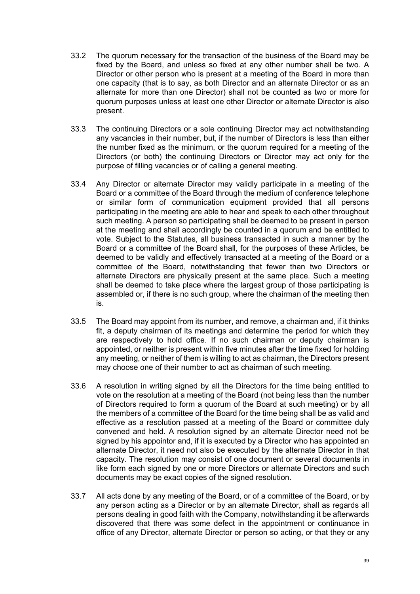- 33.2 The quorum necessary for the transaction of the business of the Board may be fixed by the Board, and unless so fixed at any other number shall be two. A Director or other person who is present at a meeting of the Board in more than one capacity (that is to say, as both Director and an alternate Director or as an alternate for more than one Director) shall not be counted as two or more for quorum purposes unless at least one other Director or alternate Director is also present.
- 33.3 The continuing Directors or a sole continuing Director may act notwithstanding any vacancies in their number, but, if the number of Directors is less than either the number fixed as the minimum, or the quorum required for a meeting of the Directors (or both) the continuing Directors or Director may act only for the purpose of filling vacancies or of calling a general meeting.
- 33.4 Any Director or alternate Director may validly participate in a meeting of the Board or a committee of the Board through the medium of conference telephone or similar form of communication equipment provided that all persons participating in the meeting are able to hear and speak to each other throughout such meeting. A person so participating shall be deemed to be present in person at the meeting and shall accordingly be counted in a quorum and be entitled to vote. Subject to the Statutes, all business transacted in such a manner by the Board or a committee of the Board shall, for the purposes of these Articles, be deemed to be validly and effectively transacted at a meeting of the Board or a committee of the Board, notwithstanding that fewer than two Directors or alternate Directors are physically present at the same place. Such a meeting shall be deemed to take place where the largest group of those participating is assembled or, if there is no such group, where the chairman of the meeting then is.
- 33.5 The Board may appoint from its number, and remove, a chairman and, if it thinks fit, a deputy chairman of its meetings and determine the period for which they are respectively to hold office. If no such chairman or deputy chairman is appointed, or neither is present within five minutes after the time fixed for holding any meeting, or neither of them is willing to act as chairman, the Directors present may choose one of their number to act as chairman of such meeting.
- 33.6 A resolution in writing signed by all the Directors for the time being entitled to vote on the resolution at a meeting of the Board (not being less than the number of Directors required to form a quorum of the Board at such meeting) or by all the members of a committee of the Board for the time being shall be as valid and effective as a resolution passed at a meeting of the Board or committee duly convened and held. A resolution signed by an alternate Director need not be signed by his appointor and, if it is executed by a Director who has appointed an alternate Director, it need not also be executed by the alternate Director in that capacity. The resolution may consist of one document or several documents in like form each signed by one or more Directors or alternate Directors and such documents may be exact copies of the signed resolution.
- 33.7 All acts done by any meeting of the Board, or of a committee of the Board, or by any person acting as a Director or by an alternate Director, shall as regards all persons dealing in good faith with the Company, notwithstanding it be afterwards discovered that there was some defect in the appointment or continuance in office of any Director, alternate Director or person so acting, or that they or any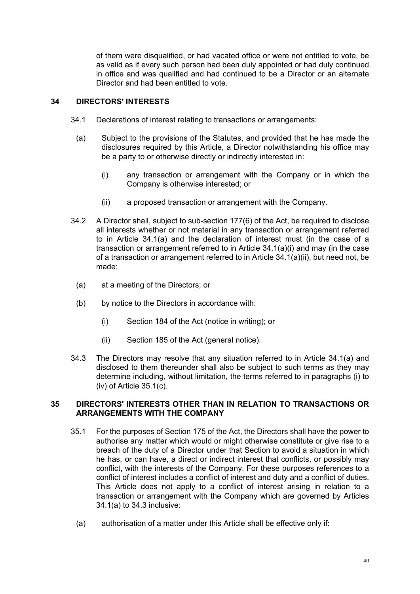of them were disqualified, or had vacated office or were not entitled to vote, be as valid as if every such person had been duly appointed or had duly continued in office and was qualified and had continued to be a Director or an alternate Director and had been entitled to vote.

# **34 DIRECTORS' INTERESTS**

- <span id="page-42-0"></span>34.1 Declarations of interest relating to transactions or arrangements:
	- (a) Subject to the provisions of the Statutes, and provided that he has made the disclosures required by this Article, a Director notwithstanding his office may be a party to or otherwise directly or indirectly interested in:
		- (i) any transaction or arrangement with the Company or in which the Company is otherwise interested; or
		- (ii) a proposed transaction or arrangement with the Company.
- <span id="page-42-2"></span><span id="page-42-1"></span>34.2 A Director shall, subject to sub-section 177(6) of the Act, be required to disclose all interests whether or not material in any transaction or arrangement referred to in Article [34.1\(a\)](#page-42-0) and the declaration of interest must (in the case of a transaction or arrangement referred to in Article [34.1\(a\)\(i\)](#page-42-1) and may (in the case of a transaction or arrangement referred to in Article [34.1\(a\)\(ii\)](#page-42-2), but need not, be made:
	- (a) at a meeting of the Directors; or
	- (b) by notice to the Directors in accordance with:
		- (i) Section 184 of the Act (notice in writing); or
		- (ii) Section 185 of the Act (general notice).
- <span id="page-42-3"></span>34.3 The Directors may resolve that any situation referred to in Article [34.1\(a\)](#page-42-0) and disclosed to them thereunder shall also be subject to such terms as they may determine including, without limitation, the terms referred to in paragraphs [\(i\)](#page-43-0) to [\(iv\)](#page-43-1) of Article [35.1\(c\).](#page-43-2)

### **35 DIRECTORS' INTERESTS OTHER THAN IN RELATION TO TRANSACTIONS OR ARRANGEMENTS WITH THE COMPANY**

- 35.1 For the purposes of Section 175 of the Act, the Directors shall have the power to authorise any matter which would or might otherwise constitute or give rise to a breach of the duty of a Director under that Section to avoid a situation in which he has, or can have, a direct or indirect interest that conflicts, or possibly may conflict, with the interests of the Company. For these purposes references to a conflict of interest includes a conflict of interest and duty and a conflict of duties. This Article does not apply to a conflict of interest arising in relation to a transaction or arrangement with the Company which are governed by Articles [34.1\(a\)](#page-42-0) to [34.3](#page-42-3) inclusive:
	- (a) authorisation of a matter under this Article shall be effective only if: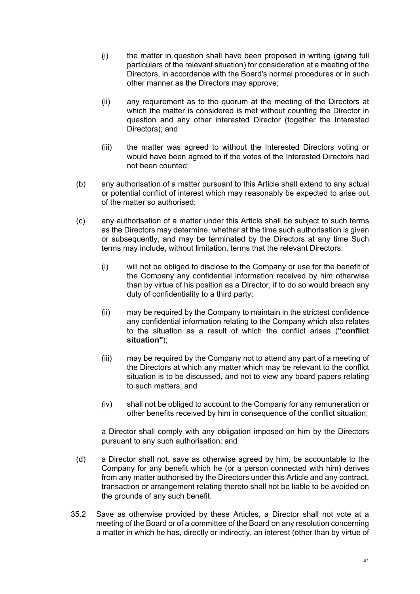- (i) the matter in question shall have been proposed in writing (giving full particulars of the relevant situation) for consideration at a meeting of the Directors, in accordance with the Board's normal procedures or in such other manner as the Directors may approve;
- (ii) any requirement as to the quorum at the meeting of the Directors at which the matter is considered is met without counting the Director in question and any other interested Director (together the Interested Directors); and
- (iii) the matter was agreed to without the Interested Directors voting or would have been agreed to if the votes of the Interested Directors had not been counted;
- (b) any authorisation of a matter pursuant to this Article shall extend to any actual or potential conflict of interest which may reasonably be expected to arise out of the matter so authorised;
- <span id="page-43-2"></span><span id="page-43-0"></span>(c) any authorisation of a matter under this Article shall be subject to such terms as the Directors may determine, whether at the time such authorisation is given or subsequently, and may be terminated by the Directors at any time Such terms may include, without limitation, terms that the relevant Directors:
	- (i) will not be obliged to disclose to the Company or use for the benefit of the Company any confidential information received by him otherwise than by virtue of his position as a Director, if to do so would breach any duty of confidentiality to a third party;
	- (ii) may be required by the Company to maintain in the strictest confidence any confidential information relating to the Company which also relates to the situation as a result of which the conflict arises (**"conflict situation"**);
	- (iii) may be required by the Company not to attend any part of a meeting of the Directors at which any matter which may be relevant to the conflict situation is to be discussed, and not to view any board papers relating to such matters; and
	- (iv) shall not be obliged to account to the Company for any remuneration or other benefits received by him in consequence of the conflict situation;

<span id="page-43-1"></span>a Director shall comply with any obligation imposed on him by the Directors pursuant to any such authorisation; and

- (d) a Director shall not, save as otherwise agreed by him, be accountable to the Company for any benefit which he (or a person connected with him) derives from any matter authorised by the Directors under this Article and any contract, transaction or arrangement relating thereto shall not be liable to be avoided on the grounds of any such benefit.
- <span id="page-43-3"></span>35.2 Save as otherwise provided by these Articles, a Director shall not vote at a meeting of the Board or of a committee of the Board on any resolution concerning a matter in which he has, directly or indirectly, an interest (other than by virtue of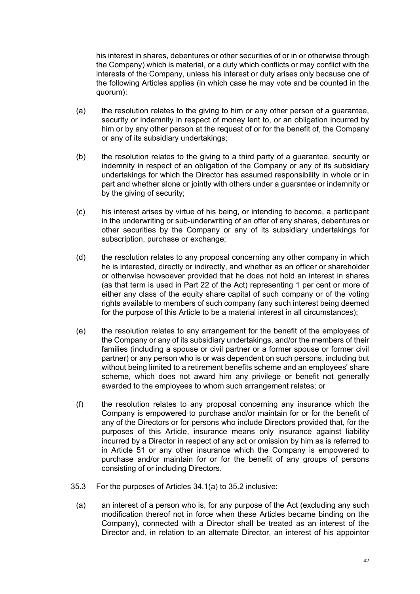his interest in shares, debentures or other securities of or in or otherwise through the Company) which is material, or a duty which conflicts or may conflict with the interests of the Company, unless his interest or duty arises only because one of the following Articles applies (in which case he may vote and be counted in the quorum):

- (a) the resolution relates to the giving to him or any other person of a guarantee, security or indemnity in respect of money lent to, or an obligation incurred by him or by any other person at the request of or for the benefit of, the Company or any of its subsidiary undertakings;
- (b) the resolution relates to the giving to a third party of a guarantee, security or indemnity in respect of an obligation of the Company or any of its subsidiary undertakings for which the Director has assumed responsibility in whole or in part and whether alone or jointly with others under a guarantee or indemnity or by the giving of security;
- (c) his interest arises by virtue of his being, or intending to become, a participant in the underwriting or sub-underwriting of an offer of any shares, debentures or other securities by the Company or any of its subsidiary undertakings for subscription, purchase or exchange;
- <span id="page-44-0"></span>(d) the resolution relates to any proposal concerning any other company in which he is interested, directly or indirectly, and whether as an officer or shareholder or otherwise howsoever provided that he does not hold an interest in shares (as that term is used in Part 22 of the Act) representing 1 per cent or more of either any class of the equity share capital of such company or of the voting rights available to members of such company (any such interest being deemed for the purpose of this Article to be a material interest in all circumstances);
- (e) the resolution relates to any arrangement for the benefit of the employees of the Company or any of its subsidiary undertakings, and/or the members of their families (including a spouse or civil partner or a former spouse or former civil partner) or any person who is or was dependent on such persons, including but without being limited to a retirement benefits scheme and an employees' share scheme, which does not award him any privilege or benefit not generally awarded to the employees to whom such arrangement relates; or
- (f) the resolution relates to any proposal concerning any insurance which the Company is empowered to purchase and/or maintain for or for the benefit of any of the Directors or for persons who include Directors provided that, for the purposes of this Article, insurance means only insurance against liability incurred by a Director in respect of any act or omission by him as is referred to in Article [51](#page-61-0) or any other insurance which the Company is empowered to purchase and/or maintain for or for the benefit of any groups of persons consisting of or including Directors.
- 35.3 For the purposes of Articles [34.1\(a\)](#page-42-0) to [35.2](#page-43-3) inclusive:
	- (a) an interest of a person who is, for any purpose of the Act (excluding any such modification thereof not in force when these Articles became binding on the Company), connected with a Director shall be treated as an interest of the Director and, in relation to an alternate Director, an interest of his appointor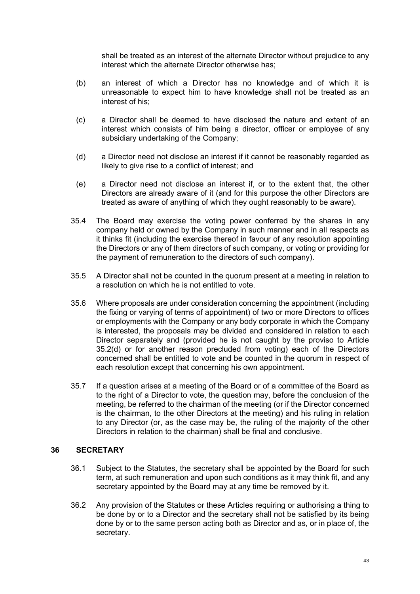shall be treated as an interest of the alternate Director without prejudice to any interest which the alternate Director otherwise has;

- (b) an interest of which a Director has no knowledge and of which it is unreasonable to expect him to have knowledge shall not be treated as an interest of his;
- (c) a Director shall be deemed to have disclosed the nature and extent of an interest which consists of him being a director, officer or employee of any subsidiary undertaking of the Company;
- (d) a Director need not disclose an interest if it cannot be reasonably regarded as likely to give rise to a conflict of interest; and
- (e) a Director need not disclose an interest if, or to the extent that, the other Directors are already aware of it (and for this purpose the other Directors are treated as aware of anything of which they ought reasonably to be aware).
- 35.4 The Board may exercise the voting power conferred by the shares in any company held or owned by the Company in such manner and in all respects as it thinks fit (including the exercise thereof in favour of any resolution appointing the Directors or any of them directors of such company, or voting or providing for the payment of remuneration to the directors of such company).
- 35.5 A Director shall not be counted in the quorum present at a meeting in relation to a resolution on which he is not entitled to vote.
- 35.6 Where proposals are under consideration concerning the appointment (including the fixing or varying of terms of appointment) of two or more Directors to offices or employments with the Company or any body corporate in which the Company is interested, the proposals may be divided and considered in relation to each Director separately and (provided he is not caught by the proviso to Article [35.2\(d\)](#page-44-0) or for another reason precluded from voting) each of the Directors concerned shall be entitled to vote and be counted in the quorum in respect of each resolution except that concerning his own appointment.
- 35.7 If a question arises at a meeting of the Board or of a committee of the Board as to the right of a Director to vote, the question may, before the conclusion of the meeting, be referred to the chairman of the meeting (or if the Director concerned is the chairman, to the other Directors at the meeting) and his ruling in relation to any Director (or, as the case may be, the ruling of the majority of the other Directors in relation to the chairman) shall be final and conclusive.

### **36 SECRETARY**

- 36.1 Subject to the Statutes, the secretary shall be appointed by the Board for such term, at such remuneration and upon such conditions as it may think fit, and any secretary appointed by the Board may at any time be removed by it.
- 36.2 Any provision of the Statutes or these Articles requiring or authorising a thing to be done by or to a Director and the secretary shall not be satisfied by its being done by or to the same person acting both as Director and as, or in place of, the secretary.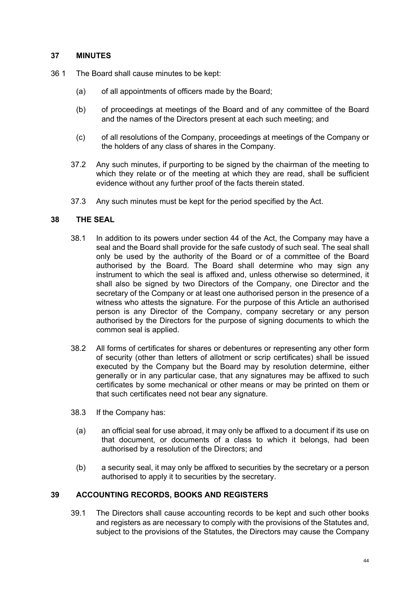#### **37 MINUTES**

- 36 1 The Board shall cause minutes to be kept:
	- (a) of all appointments of officers made by the Board;
	- (b) of proceedings at meetings of the Board and of any committee of the Board and the names of the Directors present at each such meeting; and
	- (c) of all resolutions of the Company, proceedings at meetings of the Company or the holders of any class of shares in the Company.
	- 37.2 Any such minutes, if purporting to be signed by the chairman of the meeting to which they relate or of the meeting at which they are read, shall be sufficient evidence without any further proof of the facts therein stated.
	- 37.3 Any such minutes must be kept for the period specified by the Act.

#### **38 THE SEAL**

- 38.1 In addition to its powers under section 44 of the Act, the Company may have a seal and the Board shall provide for the safe custody of such seal. The seal shall only be used by the authority of the Board or of a committee of the Board authorised by the Board. The Board shall determine who may sign any instrument to which the seal is affixed and, unless otherwise so determined, it shall also be signed by two Directors of the Company, one Director and the secretary of the Company or at least one authorised person in the presence of a witness who attests the signature. For the purpose of this Article an authorised person is any Director of the Company, company secretary or any person authorised by the Directors for the purpose of signing documents to which the common seal is applied.
- 38.2 All forms of certificates for shares or debentures or representing any other form of security (other than letters of allotment or scrip certificates) shall be issued executed by the Company but the Board may by resolution determine, either generally or in any particular case, that any signatures may be affixed to such certificates by some mechanical or other means or may be printed on them or that such certificates need not bear any signature.
- 38.3 If the Company has:
	- (a) an official seal for use abroad, it may only be affixed to a document if its use on that document, or documents of a class to which it belongs, had been authorised by a resolution of the Directors; and
	- (b) a security seal, it may only be affixed to securities by the secretary or a person authorised to apply it to securities by the secretary.

### **39 ACCOUNTING RECORDS, BOOKS AND REGISTERS**

39.1 The Directors shall cause accounting records to be kept and such other books and registers as are necessary to comply with the provisions of the Statutes and, subject to the provisions of the Statutes, the Directors may cause the Company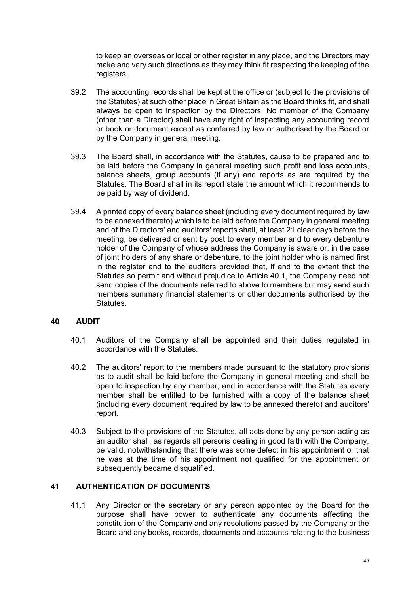to keep an overseas or local or other register in any place, and the Directors may make and vary such directions as they may think fit respecting the keeping of the registers.

- 39.2 The accounting records shall be kept at the office or (subject to the provisions of the Statutes) at such other place in Great Britain as the Board thinks fit, and shall always be open to inspection by the Directors. No member of the Company (other than a Director) shall have any right of inspecting any accounting record or book or document except as conferred by law or authorised by the Board or by the Company in general meeting.
- 39.3 The Board shall, in accordance with the Statutes, cause to be prepared and to be laid before the Company in general meeting such profit and loss accounts, balance sheets, group accounts (if any) and reports as are required by the Statutes. The Board shall in its report state the amount which it recommends to be paid by way of dividend.
- 39.4 A printed copy of every balance sheet (including every document required by law to be annexed thereto) which is to be laid before the Company in general meeting and of the Directors' and auditors' reports shall, at least 21 clear days before the meeting, be delivered or sent by post to every member and to every debenture holder of the Company of whose address the Company is aware or, in the case of joint holders of any share or debenture, to the joint holder who is named first in the register and to the auditors provided that, if and to the extent that the Statutes so permit and without prejudice to Article [40.1,](#page-47-0) the Company need not send copies of the documents referred to above to members but may send such members summary financial statements or other documents authorised by the Statutes.

### **40 AUDIT**

- <span id="page-47-0"></span>40.1 Auditors of the Company shall be appointed and their duties regulated in accordance with the Statutes.
- 40.2 The auditors' report to the members made pursuant to the statutory provisions as to audit shall be laid before the Company in general meeting and shall be open to inspection by any member, and in accordance with the Statutes every member shall be entitled to be furnished with a copy of the balance sheet (including every document required by law to be annexed thereto) and auditors' report.
- 40.3 Subject to the provisions of the Statutes, all acts done by any person acting as an auditor shall, as regards all persons dealing in good faith with the Company, be valid, notwithstanding that there was some defect in his appointment or that he was at the time of his appointment not qualified for the appointment or subsequently became disqualified.

### **41 AUTHENTICATION OF DOCUMENTS**

<span id="page-47-1"></span>41.1 Any Director or the secretary or any person appointed by the Board for the purpose shall have power to authenticate any documents affecting the constitution of the Company and any resolutions passed by the Company or the Board and any books, records, documents and accounts relating to the business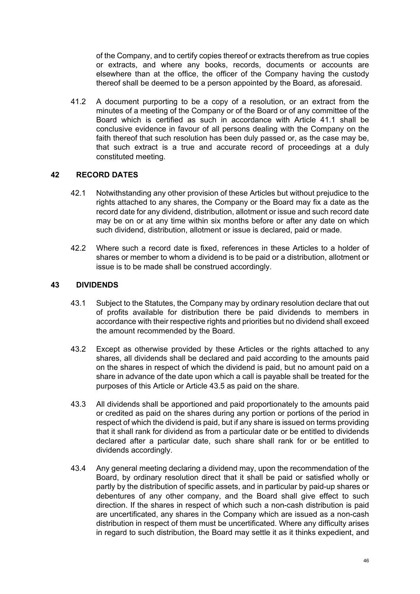of the Company, and to certify copies thereof or extracts therefrom as true copies or extracts, and where any books, records, documents or accounts are elsewhere than at the office, the officer of the Company having the custody thereof shall be deemed to be a person appointed by the Board, as aforesaid.

41.2 A document purporting to be a copy of a resolution, or an extract from the minutes of a meeting of the Company or of the Board or of any committee of the Board which is certified as such in accordance with Article [41.1](#page-47-1) shall be conclusive evidence in favour of all persons dealing with the Company on the faith thereof that such resolution has been duly passed or, as the case may be, that such extract is a true and accurate record of proceedings at a duly constituted meeting.

# **42 RECORD DATES**

- 42.1 Notwithstanding any other provision of these Articles but without prejudice to the rights attached to any shares, the Company or the Board may fix a date as the record date for any dividend, distribution, allotment or issue and such record date may be on or at any time within six months before or after any date on which such dividend, distribution, allotment or issue is declared, paid or made.
- 42.2 Where such a record date is fixed, references in these Articles to a holder of shares or member to whom a dividend is to be paid or a distribution, allotment or issue is to be made shall be construed accordingly.

# **43 DIVIDENDS**

- 43.1 Subject to the Statutes, the Company may by ordinary resolution declare that out of profits available for distribution there be paid dividends to members in accordance with their respective rights and priorities but no dividend shall exceed the amount recommended by the Board.
- 43.2 Except as otherwise provided by these Articles or the rights attached to any shares, all dividends shall be declared and paid according to the amounts paid on the shares in respect of which the dividend is paid, but no amount paid on a share in advance of the date upon which a call is payable shall be treated for the purposes of this Article or Article [43.5](#page-49-0) as paid on the share.
- 43.3 All dividends shall be apportioned and paid proportionately to the amounts paid or credited as paid on the shares during any portion or portions of the period in respect of which the dividend is paid, but if any share is issued on terms providing that it shall rank for dividend as from a particular date or be entitled to dividends declared after a particular date, such share shall rank for or be entitled to dividends accordingly.
- 43.4 Any general meeting declaring a dividend may, upon the recommendation of the Board, by ordinary resolution direct that it shall be paid or satisfied wholly or partly by the distribution of specific assets, and in particular by paid-up shares or debentures of any other company, and the Board shall give effect to such direction. If the shares in respect of which such a non-cash distribution is paid are uncertificated, any shares in the Company which are issued as a non-cash distribution in respect of them must be uncertificated. Where any difficulty arises in regard to such distribution, the Board may settle it as it thinks expedient, and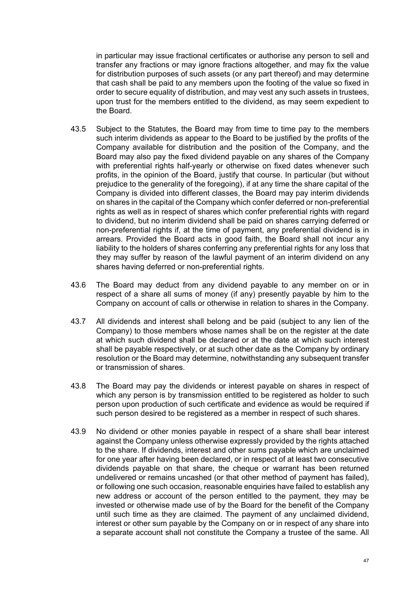in particular may issue fractional certificates or authorise any person to sell and transfer any fractions or may ignore fractions altogether, and may fix the value for distribution purposes of such assets (or any part thereof) and may determine that cash shall be paid to any members upon the footing of the value so fixed in order to secure equality of distribution, and may vest any such assets in trustees, upon trust for the members entitled to the dividend, as may seem expedient to the Board.

- <span id="page-49-0"></span>43.5 Subject to the Statutes, the Board may from time to time pay to the members such interim dividends as appear to the Board to be justified by the profits of the Company available for distribution and the position of the Company, and the Board may also pay the fixed dividend payable on any shares of the Company with preferential rights half-yearly or otherwise on fixed dates whenever such profits, in the opinion of the Board, justify that course. In particular (but without prejudice to the generality of the foregoing), if at any time the share capital of the Company is divided into different classes, the Board may pay interim dividends on shares in the capital of the Company which confer deferred or non-preferential rights as well as in respect of shares which confer preferential rights with regard to dividend, but no interim dividend shall be paid on shares carrying deferred or non-preferential rights if, at the time of payment, any preferential dividend is in arrears. Provided the Board acts in good faith, the Board shall not incur any liability to the holders of shares conferring any preferential rights for any loss that they may suffer by reason of the lawful payment of an interim dividend on any shares having deferred or non-preferential rights.
- 43.6 The Board may deduct from any dividend payable to any member on or in respect of a share all sums of money (if any) presently payable by him to the Company on account of calls or otherwise in relation to shares in the Company.
- 43.7 All dividends and interest shall belong and be paid (subject to any lien of the Company) to those members whose names shall be on the register at the date at which such dividend shall be declared or at the date at which such interest shall be payable respectively, or at such other date as the Company by ordinary resolution or the Board may determine, notwithstanding any subsequent transfer or transmission of shares.
- 43.8 The Board may pay the dividends or interest payable on shares in respect of which any person is by transmission entitled to be registered as holder to such person upon production of such certificate and evidence as would be required if such person desired to be registered as a member in respect of such shares.
- 43.9 No dividend or other monies payable in respect of a share shall bear interest against the Company unless otherwise expressly provided by the rights attached to the share. If dividends, interest and other sums payable which are unclaimed for one year after having been declared, or in respect of at least two consecutive dividends payable on that share, the cheque or warrant has been returned undelivered or remains uncashed (or that other method of payment has failed), or following one such occasion, reasonable enquiries have failed to establish any new address or account of the person entitled to the payment, they may be invested or otherwise made use of by the Board for the benefit of the Company until such time as they are claimed. The payment of any unclaimed dividend, interest or other sum payable by the Company on or in respect of any share into a separate account shall not constitute the Company a trustee of the same. All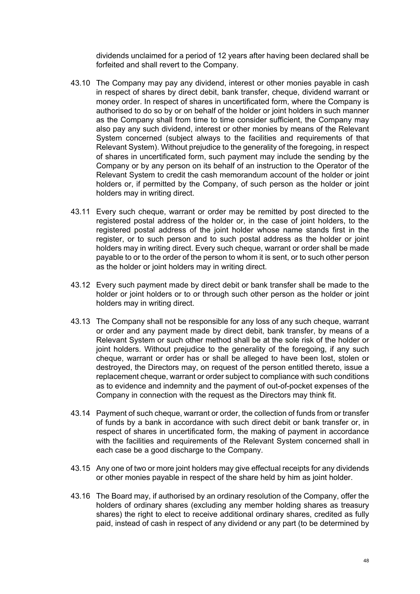dividends unclaimed for a period of 12 years after having been declared shall be forfeited and shall revert to the Company.

- 43.10 The Company may pay any dividend, interest or other monies payable in cash in respect of shares by direct debit, bank transfer, cheque, dividend warrant or money order. In respect of shares in uncertificated form, where the Company is authorised to do so by or on behalf of the holder or joint holders in such manner as the Company shall from time to time consider sufficient, the Company may also pay any such dividend, interest or other monies by means of the Relevant System concerned (subject always to the facilities and requirements of that Relevant System). Without prejudice to the generality of the foregoing, in respect of shares in uncertificated form, such payment may include the sending by the Company or by any person on its behalf of an instruction to the Operator of the Relevant System to credit the cash memorandum account of the holder or joint holders or, if permitted by the Company, of such person as the holder or joint holders may in writing direct.
- 43.11 Every such cheque, warrant or order may be remitted by post directed to the registered postal address of the holder or, in the case of joint holders, to the registered postal address of the joint holder whose name stands first in the register, or to such person and to such postal address as the holder or joint holders may in writing direct. Every such cheque, warrant or order shall be made payable to or to the order of the person to whom it is sent, or to such other person as the holder or joint holders may in writing direct.
- 43.12 Every such payment made by direct debit or bank transfer shall be made to the holder or joint holders or to or through such other person as the holder or joint holders may in writing direct.
- 43.13 The Company shall not be responsible for any loss of any such cheque, warrant or order and any payment made by direct debit, bank transfer, by means of a Relevant System or such other method shall be at the sole risk of the holder or joint holders. Without prejudice to the generality of the foregoing, if any such cheque, warrant or order has or shall be alleged to have been lost, stolen or destroyed, the Directors may, on request of the person entitled thereto, issue a replacement cheque, warrant or order subject to compliance with such conditions as to evidence and indemnity and the payment of out-of-pocket expenses of the Company in connection with the request as the Directors may think fit.
- 43.14 Payment of such cheque, warrant or order, the collection of funds from or transfer of funds by a bank in accordance with such direct debit or bank transfer or, in respect of shares in uncertificated form, the making of payment in accordance with the facilities and requirements of the Relevant System concerned shall in each case be a good discharge to the Company.
- 43.15 Any one of two or more joint holders may give effectual receipts for any dividends or other monies payable in respect of the share held by him as joint holder.
- <span id="page-50-0"></span>43.16 The Board may, if authorised by an ordinary resolution of the Company, offer the holders of ordinary shares (excluding any member holding shares as treasury shares) the right to elect to receive additional ordinary shares, credited as fully paid, instead of cash in respect of any dividend or any part (to be determined by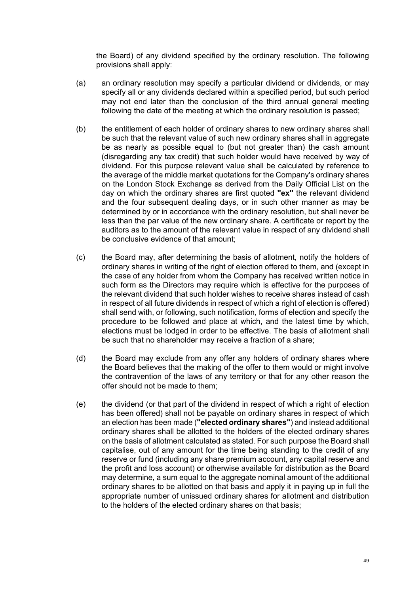the Board) of any dividend specified by the ordinary resolution. The following provisions shall apply:

- (a) an ordinary resolution may specify a particular dividend or dividends, or may specify all or any dividends declared within a specified period, but such period may not end later than the conclusion of the third annual general meeting following the date of the meeting at which the ordinary resolution is passed;
- (b) the entitlement of each holder of ordinary shares to new ordinary shares shall be such that the relevant value of such new ordinary shares shall in aggregate be as nearly as possible equal to (but not greater than) the cash amount (disregarding any tax credit) that such holder would have received by way of dividend. For this purpose relevant value shall be calculated by reference to the average of the middle market quotations for the Company's ordinary shares on the London Stock Exchange as derived from the Daily Official List on the day on which the ordinary shares are first quoted **"ex"** the relevant dividend and the four subsequent dealing days, or in such other manner as may be determined by or in accordance with the ordinary resolution, but shall never be less than the par value of the new ordinary share. A certificate or report by the auditors as to the amount of the relevant value in respect of any dividend shall be conclusive evidence of that amount;
- (c) the Board may, after determining the basis of allotment, notify the holders of ordinary shares in writing of the right of election offered to them, and (except in the case of any holder from whom the Company has received written notice in such form as the Directors may require which is effective for the purposes of the relevant dividend that such holder wishes to receive shares instead of cash in respect of all future dividends in respect of which a right of election is offered) shall send with, or following, such notification, forms of election and specify the procedure to be followed and place at which, and the latest time by which, elections must be lodged in order to be effective. The basis of allotment shall be such that no shareholder may receive a fraction of a share;
- (d) the Board may exclude from any offer any holders of ordinary shares where the Board believes that the making of the offer to them would or might involve the contravention of the laws of any territory or that for any other reason the offer should not be made to them;
- (e) the dividend (or that part of the dividend in respect of which a right of election has been offered) shall not be payable on ordinary shares in respect of which an election has been made (**"elected ordinary shares"**) and instead additional ordinary shares shall be allotted to the holders of the elected ordinary shares on the basis of allotment calculated as stated. For such purpose the Board shall capitalise, out of any amount for the time being standing to the credit of any reserve or fund (including any share premium account, any capital reserve and the profit and loss account) or otherwise available for distribution as the Board may determine, a sum equal to the aggregate nominal amount of the additional ordinary shares to be allotted on that basis and apply it in paying up in full the appropriate number of unissued ordinary shares for allotment and distribution to the holders of the elected ordinary shares on that basis;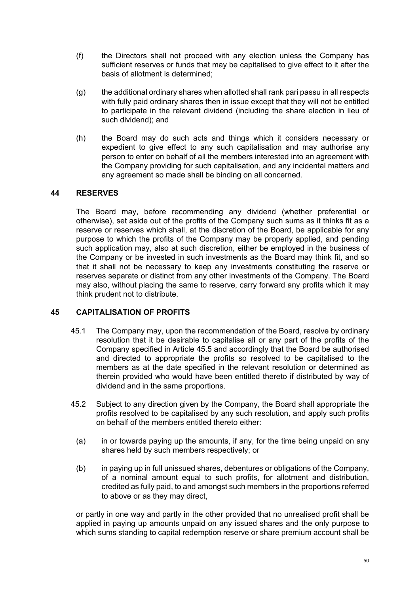- (f) the Directors shall not proceed with any election unless the Company has sufficient reserves or funds that may be capitalised to give effect to it after the basis of allotment is determined;
- (g) the additional ordinary shares when allotted shall rank pari passu in all respects with fully paid ordinary shares then in issue except that they will not be entitled to participate in the relevant dividend (including the share election in lieu of such dividend); and
- (h) the Board may do such acts and things which it considers necessary or expedient to give effect to any such capitalisation and may authorise any person to enter on behalf of all the members interested into an agreement with the Company providing for such capitalisation, and any incidental matters and any agreement so made shall be binding on all concerned.

### **44 RESERVES**

The Board may, before recommending any dividend (whether preferential or otherwise), set aside out of the profits of the Company such sums as it thinks fit as a reserve or reserves which shall, at the discretion of the Board, be applicable for any purpose to which the profits of the Company may be properly applied, and pending such application may, also at such discretion, either be employed in the business of the Company or be invested in such investments as the Board may think fit, and so that it shall not be necessary to keep any investments constituting the reserve or reserves separate or distinct from any other investments of the Company. The Board may also, without placing the same to reserve, carry forward any profits which it may think prudent not to distribute.

### **45 CAPITALISATION OF PROFITS**

- <span id="page-52-0"></span>45.1 The Company may, upon the recommendation of the Board, resolve by ordinary resolution that it be desirable to capitalise all or any part of the profits of the Company specified in Article [45.5](#page-53-0) and accordingly that the Board be authorised and directed to appropriate the profits so resolved to be capitalised to the members as at the date specified in the relevant resolution or determined as therein provided who would have been entitled thereto if distributed by way of dividend and in the same proportions.
- 45.2 Subject to any direction given by the Company, the Board shall appropriate the profits resolved to be capitalised by any such resolution, and apply such profits on behalf of the members entitled thereto either:
	- (a) in or towards paying up the amounts, if any, for the time being unpaid on any shares held by such members respectively; or
	- (b) in paying up in full unissued shares, debentures or obligations of the Company, of a nominal amount equal to such profits, for allotment and distribution, credited as fully paid, to and amongst such members in the proportions referred to above or as they may direct,

or partly in one way and partly in the other provided that no unrealised profit shall be applied in paying up amounts unpaid on any issued shares and the only purpose to which sums standing to capital redemption reserve or share premium account shall be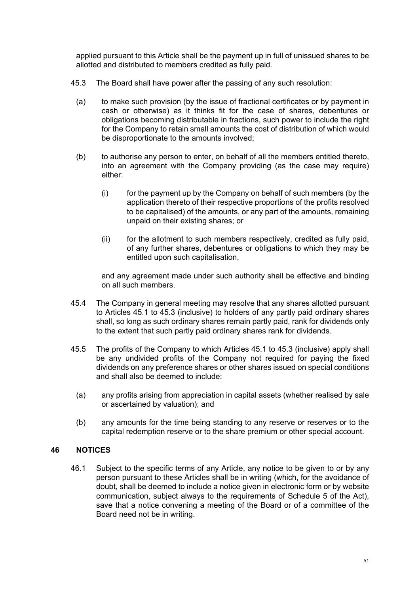applied pursuant to this Article shall be the payment up in full of unissued shares to be allotted and distributed to members credited as fully paid.

- <span id="page-53-1"></span>45.3 The Board shall have power after the passing of any such resolution:
	- (a) to make such provision (by the issue of fractional certificates or by payment in cash or otherwise) as it thinks fit for the case of shares, debentures or obligations becoming distributable in fractions, such power to include the right for the Company to retain small amounts the cost of distribution of which would be disproportionate to the amounts involved;
	- (b) to authorise any person to enter, on behalf of all the members entitled thereto, into an agreement with the Company providing (as the case may require) either:
		- (i) for the payment up by the Company on behalf of such members (by the application thereto of their respective proportions of the profits resolved to be capitalised) of the amounts, or any part of the amounts, remaining unpaid on their existing shares; or
		- (ii) for the allotment to such members respectively, credited as fully paid, of any further shares, debentures or obligations to which they may be entitled upon such capitalisation,

and any agreement made under such authority shall be effective and binding on all such members.

- 45.4 The Company in general meeting may resolve that any shares allotted pursuant to Articles [45.1](#page-52-0) to [45.3](#page-53-1) (inclusive) to holders of any partly paid ordinary shares shall, so long as such ordinary shares remain partly paid, rank for dividends only to the extent that such partly paid ordinary shares rank for dividends.
- <span id="page-53-0"></span>45.5 The profits of the Company to which Articles [45.1](#page-52-0) to [45.3](#page-53-1) (inclusive) apply shall be any undivided profits of the Company not required for paying the fixed dividends on any preference shares or other shares issued on special conditions and shall also be deemed to include:
	- (a) any profits arising from appreciation in capital assets (whether realised by sale or ascertained by valuation); and
	- (b) any amounts for the time being standing to any reserve or reserves or to the capital redemption reserve or to the share premium or other special account.

### **46 NOTICES**

46.1 Subject to the specific terms of any Article, any notice to be given to or by any person pursuant to these Articles shall be in writing (which, for the avoidance of doubt, shall be deemed to include a notice given in electronic form or by website communication, subject always to the requirements of Schedule 5 of the Act), save that a notice convening a meeting of the Board or of a committee of the Board need not be in writing.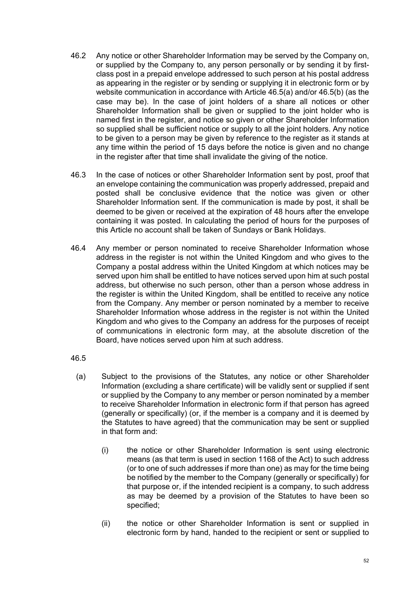- 46.2 Any notice or other Shareholder Information may be served by the Company on, or supplied by the Company to, any person personally or by sending it by firstclass post in a prepaid envelope addressed to such person at his postal address as appearing in the register or by sending or supplying it in electronic form or by website communication in accordance with Article [46.5\(a\)](#page-54-0) and/or [46.5\(b\)](#page-55-0) (as the case may be). In the case of joint holders of a share all notices or other Shareholder Information shall be given or supplied to the joint holder who is named first in the register, and notice so given or other Shareholder Information so supplied shall be sufficient notice or supply to all the joint holders. Any notice to be given to a person may be given by reference to the register as it stands at any time within the period of 15 days before the notice is given and no change in the register after that time shall invalidate the giving of the notice.
- 46.3 In the case of notices or other Shareholder Information sent by post, proof that an envelope containing the communication was properly addressed, prepaid and posted shall be conclusive evidence that the notice was given or other Shareholder Information sent. If the communication is made by post, it shall be deemed to be given or received at the expiration of 48 hours after the envelope containing it was posted. In calculating the period of hours for the purposes of this Article no account shall be taken of Sundays or Bank Holidays.
- 46.4 Any member or person nominated to receive Shareholder Information whose address in the register is not within the United Kingdom and who gives to the Company a postal address within the United Kingdom at which notices may be served upon him shall be entitled to have notices served upon him at such postal address, but otherwise no such person, other than a person whose address in the register is within the United Kingdom, shall be entitled to receive any notice from the Company. Any member or person nominated by a member to receive Shareholder Information whose address in the register is not within the United Kingdom and who gives to the Company an address for the purposes of receipt of communications in electronic form may, at the absolute discretion of the Board, have notices served upon him at such address.

### <span id="page-54-1"></span>46.5

- <span id="page-54-0"></span>(a) Subject to the provisions of the Statutes, any notice or other Shareholder Information (excluding a share certificate) will be validly sent or supplied if sent or supplied by the Company to any member or person nominated by a member to receive Shareholder Information in electronic form if that person has agreed (generally or specifically) (or, if the member is a company and it is deemed by the Statutes to have agreed) that the communication may be sent or supplied in that form and:
	- (i) the notice or other Shareholder Information is sent using electronic means (as that term is used in section 1168 of the Act) to such address (or to one of such addresses if more than one) as may for the time being be notified by the member to the Company (generally or specifically) for that purpose or, if the intended recipient is a company, to such address as may be deemed by a provision of the Statutes to have been so specified;
	- (ii) the notice or other Shareholder Information is sent or supplied in electronic form by hand, handed to the recipient or sent or supplied to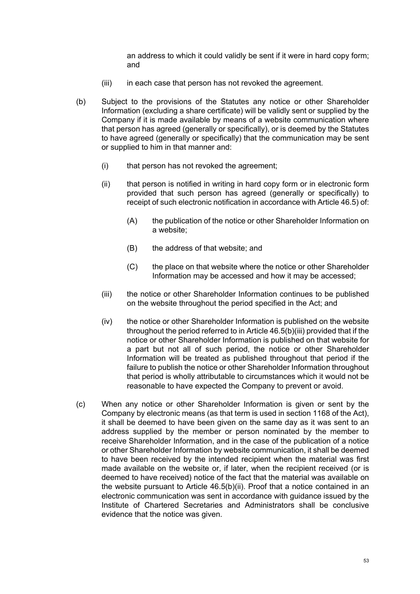an address to which it could validly be sent if it were in hard copy form; and

- (iii) in each case that person has not revoked the agreement.
- <span id="page-55-2"></span><span id="page-55-0"></span>(b) Subject to the provisions of the Statutes any notice or other Shareholder Information (excluding a share certificate) will be validly sent or supplied by the Company if it is made available by means of a website communication where that person has agreed (generally or specifically), or is deemed by the Statutes to have agreed (generally or specifically) that the communication may be sent or supplied to him in that manner and:
	- (i) that person has not revoked the agreement;
	- (ii) that person is notified in writing in hard copy form or in electronic form provided that such person has agreed (generally or specifically) to receipt of such electronic notification in accordance with Article [46.5\)](#page-54-1) of:
		- (A) the publication of the notice or other Shareholder Information on a website;
		- (B) the address of that website; and
		- (C) the place on that website where the notice or other Shareholder Information may be accessed and how it may be accessed;
	- (iii) the notice or other Shareholder Information continues to be published on the website throughout the period specified in the Act; and
	- (iv) the notice or other Shareholder Information is published on the website throughout the period referred to in Article [46.5\(b\)\(iii\)](#page-55-1) provided that if the notice or other Shareholder Information is published on that website for a part but not all of such period, the notice or other Shareholder Information will be treated as published throughout that period if the failure to publish the notice or other Shareholder Information throughout that period is wholly attributable to circumstances which it would not be reasonable to have expected the Company to prevent or avoid.
- <span id="page-55-1"></span>(c) When any notice or other Shareholder Information is given or sent by the Company by electronic means (as that term is used in section 1168 of the Act), it shall be deemed to have been given on the same day as it was sent to an address supplied by the member or person nominated by the member to receive Shareholder Information, and in the case of the publication of a notice or other Shareholder Information by website communication, it shall be deemed to have been received by the intended recipient when the material was first made available on the website or, if later, when the recipient received (or is deemed to have received) notice of the fact that the material was available on the website pursuant to Article [46.5\(b\)\(ii\)](#page-55-2). Proof that a notice contained in an electronic communication was sent in accordance with guidance issued by the Institute of Chartered Secretaries and Administrators shall be conclusive evidence that the notice was given.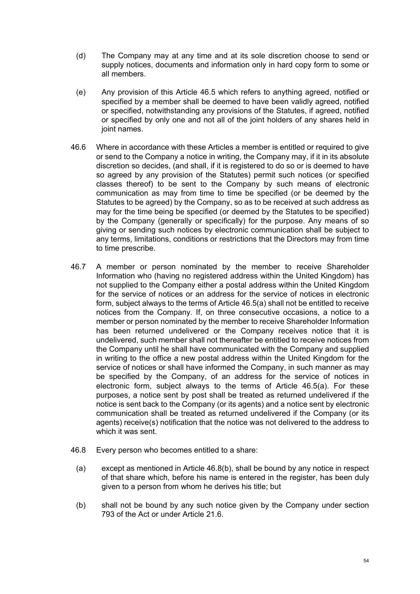- (d) The Company may at any time and at its sole discretion choose to send or supply notices, documents and information only in hard copy form to some or all members.
- (e) Any provision of this Article [46.5](#page-54-1) which refers to anything agreed, notified or specified by a member shall be deemed to have been validly agreed, notified or specified, notwithstanding any provisions of the Statutes, if agreed, notified or specified by only one and not all of the joint holders of any shares held in joint names.
- 46.6 Where in accordance with these Articles a member is entitled or required to give or send to the Company a notice in writing, the Company may, if it in its absolute discretion so decides, (and shall, if it is registered to do so or is deemed to have so agreed by any provision of the Statutes) permit such notices (or specified classes thereof) to be sent to the Company by such means of electronic communication as may from time to time be specified (or be deemed by the Statutes to be agreed) by the Company, so as to be received at such address as may for the time being be specified (or deemed by the Statutes to be specified) by the Company (generally or specifically) for the purpose. Any means of so giving or sending such notices by electronic communication shall be subject to any terms, limitations, conditions or restrictions that the Directors may from time to time prescribe.
- 46.7 A member or person nominated by the member to receive Shareholder Information who (having no registered address within the United Kingdom) has not supplied to the Company either a postal address within the United Kingdom for the service of notices or an address for the service of notices in electronic form, subject always to the terms of Article [46.5\(a\)](#page-54-0) shall not be entitled to receive notices from the Company. If, on three consecutive occasions, a notice to a member or person nominated by the member to receive Shareholder Information has been returned undelivered or the Company receives notice that it is undelivered, such member shall not thereafter be entitled to receive notices from the Company until he shall have communicated with the Company and supplied in writing to the office a new postal address within the United Kingdom for the service of notices or shall have informed the Company, in such manner as may be specified by the Company, of an address for the service of notices in electronic form, subject always to the terms of Article [46.5\(a\).](#page-54-0) For these purposes, a notice sent by post shall be treated as returned undelivered if the notice is sent back to the Company (or its agents) and a notice sent by electronic communication shall be treated as returned undelivered if the Company (or its agents) receive(s) notification that the notice was not delivered to the address to which it was sent.
- <span id="page-56-0"></span>46.8 Every person who becomes entitled to a share:
	- (a) except as mentioned in Article [46.8\(b\)](#page-56-0), shall be bound by any notice in respect of that share which, before his name is entered in the register, has been duly given to a person from whom he derives his title; but
	- (b) shall not be bound by any such notice given by the Company under section 793 of the Act or under Article [21.6.](#page-25-1)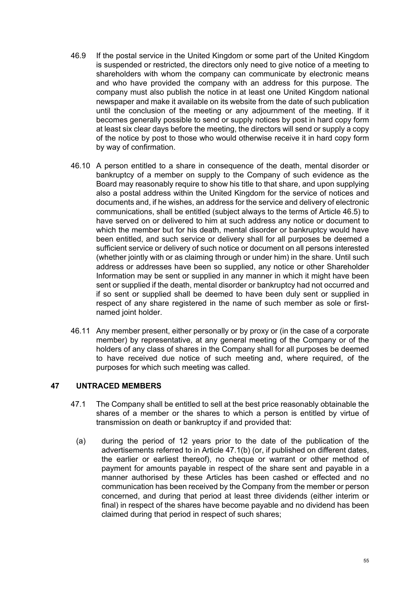- 46.9 If the postal service in the United Kingdom or some part of the United Kingdom is suspended or restricted, the directors only need to give notice of a meeting to shareholders with whom the company can communicate by electronic means and who have provided the company with an address for this purpose. The company must also publish the notice in at least one United Kingdom national newspaper and make it available on its website from the date of such publication until the conclusion of the meeting or any adjournment of the meeting. If it becomes generally possible to send or supply notices by post in hard copy form at least six clear days before the meeting, the directors will send or supply a copy of the notice by post to those who would otherwise receive it in hard copy form by way of confirmation.
- 46.10 A person entitled to a share in consequence of the death, mental disorder or bankruptcy of a member on supply to the Company of such evidence as the Board may reasonably require to show his title to that share, and upon supplying also a postal address within the United Kingdom for the service of notices and documents and, if he wishes, an address for the service and delivery of electronic communications, shall be entitled (subject always to the terms of Article [46.5](#page-54-1)) to have served on or delivered to him at such address any notice or document to which the member but for his death, mental disorder or bankruptcy would have been entitled, and such service or delivery shall for all purposes be deemed a sufficient service or delivery of such notice or document on all persons interested (whether jointly with or as claiming through or under him) in the share. Until such address or addresses have been so supplied, any notice or other Shareholder Information may be sent or supplied in any manner in which it might have been sent or supplied if the death, mental disorder or bankruptcy had not occurred and if so sent or supplied shall be deemed to have been duly sent or supplied in respect of any share registered in the name of such member as sole or firstnamed joint holder.
- 46.11 Any member present, either personally or by proxy or (in the case of a corporate member) by representative, at any general meeting of the Company or of the holders of any class of shares in the Company shall for all purposes be deemed to have received due notice of such meeting and, where required, of the purposes for which such meeting was called.

### **47 UNTRACED MEMBERS**

- <span id="page-57-0"></span>47.1 The Company shall be entitled to sell at the best price reasonably obtainable the shares of a member or the shares to which a person is entitled by virtue of transmission on death or bankruptcy if and provided that:
	- (a) during the period of 12 years prior to the date of the publication of the advertisements referred to in Article [47.1\(b\)](#page-58-0) (or, if published on different dates, the earlier or earliest thereof), no cheque or warrant or other method of payment for amounts payable in respect of the share sent and payable in a manner authorised by these Articles has been cashed or effected and no communication has been received by the Company from the member or person concerned, and during that period at least three dividends (either interim or final) in respect of the shares have become payable and no dividend has been claimed during that period in respect of such shares;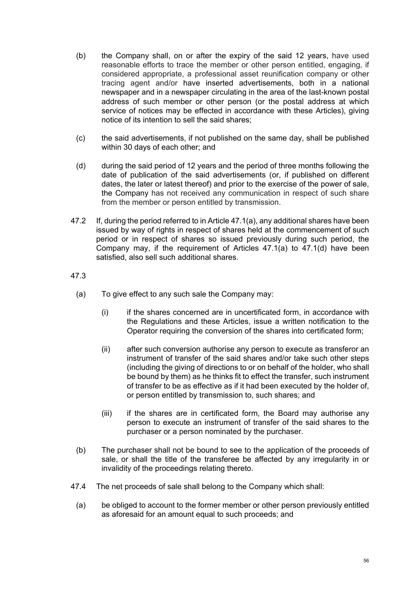- <span id="page-58-0"></span>(b) the Company shall, on or after the expiry of the said 12 years, have used reasonable efforts to trace the member or other person entitled, engaging, if considered appropriate, a professional asset reunification company or other tracing agent and/or have inserted advertisements, both in a national newspaper and in a newspaper circulating in the area of the last-known postal address of such member or other person (or the postal address at which service of notices may be effected in accordance with these Articles), giving notice of its intention to sell the said shares;
- (c) the said advertisements, if not published on the same day, shall be published within 30 days of each other; and
- <span id="page-58-1"></span>(d) during the said period of 12 years and the period of three months following the date of publication of the said advertisements (or, if published on different dates, the later or latest thereof) and prior to the exercise of the power of sale, the Company has not received any communication in respect of such share from the member or person entitled by transmission.
- 47.2 If, during the period referred to in Article [47.1\(a\)](#page-57-0), any additional shares have been issued by way of rights in respect of shares held at the commencement of such period or in respect of shares so issued previously during such period, the Company may, if the requirement of Articles [47.1\(a\)](#page-57-0) to [47.1\(d\)](#page-58-1) have been satisfied, also sell such additional shares.

#### 47.3

- (a) To give effect to any such sale the Company may:
	- (i) if the shares concerned are in uncertificated form, in accordance with the Regulations and these Articles, issue a written notification to the Operator requiring the conversion of the shares into certificated form;
	- (ii) after such conversion authorise any person to execute as transferor an instrument of transfer of the said shares and/or take such other steps (including the giving of directions to or on behalf of the holder, who shall be bound by them) as he thinks fit to effect the transfer, such instrument of transfer to be as effective as if it had been executed by the holder of, or person entitled by transmission to, such shares; and
	- (iii) if the shares are in certificated form, the Board may authorise any person to execute an instrument of transfer of the said shares to the purchaser or a person nominated by the purchaser.
- (b) The purchaser shall not be bound to see to the application of the proceeds of sale, or shall the title of the transferee be affected by any irregularity in or invalidity of the proceedings relating thereto.
- 47.4 The net proceeds of sale shall belong to the Company which shall:
	- (a) be obliged to account to the former member or other person previously entitled as aforesaid for an amount equal to such proceeds; and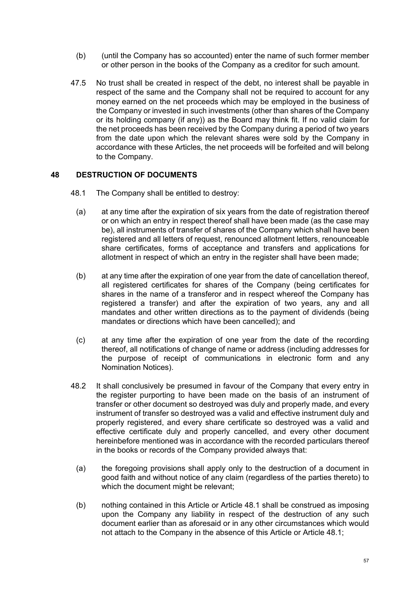- (b) (until the Company has so accounted) enter the name of such former member or other person in the books of the Company as a creditor for such amount.
- 47.5 No trust shall be created in respect of the debt, no interest shall be payable in respect of the same and the Company shall not be required to account for any money earned on the net proceeds which may be employed in the business of the Company or invested in such investments (other than shares of the Company or its holding company (if any)) as the Board may think fit. If no valid claim for the net proceeds has been received by the Company during a period of two years from the date upon which the relevant shares were sold by the Company in accordance with these Articles, the net proceeds will be forfeited and will belong to the Company.

### **48 DESTRUCTION OF DOCUMENTS**

- <span id="page-59-2"></span><span id="page-59-1"></span><span id="page-59-0"></span>48.1 The Company shall be entitled to destroy:
	- (a) at any time after the expiration of six years from the date of registration thereof or on which an entry in respect thereof shall have been made (as the case may be), all instruments of transfer of shares of the Company which shall have been registered and all letters of request, renounced allotment letters, renounceable share certificates, forms of acceptance and transfers and applications for allotment in respect of which an entry in the register shall have been made;
	- (b) at any time after the expiration of one year from the date of cancellation thereof, all registered certificates for shares of the Company (being certificates for shares in the name of a transferor and in respect whereof the Company has registered a transfer) and after the expiration of two years, any and all mandates and other written directions as to the payment of dividends (being mandates or directions which have been cancelled); and
	- (c) at any time after the expiration of one year from the date of the recording thereof, all notifications of change of name or address (including addresses for the purpose of receipt of communications in electronic form and any Nomination Notices).
- <span id="page-59-3"></span>48.2 It shall conclusively be presumed in favour of the Company that every entry in the register purporting to have been made on the basis of an instrument of transfer or other document so destroyed was duly and properly made, and every instrument of transfer so destroyed was a valid and effective instrument duly and properly registered, and every share certificate so destroyed was a valid and effective certificate duly and properly cancelled, and every other document hereinbefore mentioned was in accordance with the recorded particulars thereof in the books or records of the Company provided always that:
	- (a) the foregoing provisions shall apply only to the destruction of a document in good faith and without notice of any claim (regardless of the parties thereto) to which the document might be relevant;
	- (b) nothing contained in this Article or Article [48.1](#page-59-0) shall be construed as imposing upon the Company any liability in respect of the destruction of any such document earlier than as aforesaid or in any other circumstances which would not attach to the Company in the absence of this Article or Article [48.1;](#page-59-0)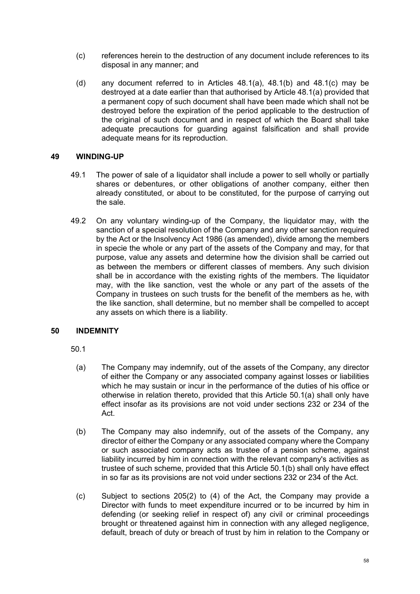- (c) references herein to the destruction of any document include references to its disposal in any manner; and
- (d) any document referred to in Articles [48.1\(a\)](#page-59-1), [48.1\(b\)](#page-59-2) and [48.1\(c\)](#page-59-3) may be destroyed at a date earlier than that authorised by Article [48.1\(a\)](#page-59-1) provided that a permanent copy of such document shall have been made which shall not be destroyed before the expiration of the period applicable to the destruction of the original of such document and in respect of which the Board shall take adequate precautions for guarding against falsification and shall provide adequate means for its reproduction.

### **49 WINDING-UP**

- 49.1 The power of sale of a liquidator shall include a power to sell wholly or partially shares or debentures, or other obligations of another company, either then already constituted, or about to be constituted, for the purpose of carrying out the sale.
- 49.2 On any voluntary winding-up of the Company, the liquidator may, with the sanction of a special resolution of the Company and any other sanction required by the Act or the Insolvency Act 1986 (as amended), divide among the members in specie the whole or any part of the assets of the Company and may, for that purpose, value any assets and determine how the division shall be carried out as between the members or different classes of members. Any such division shall be in accordance with the existing rights of the members. The liquidator may, with the like sanction, vest the whole or any part of the assets of the Company in trustees on such trusts for the benefit of the members as he, with the like sanction, shall determine, but no member shall be compelled to accept any assets on which there is a liability.

### **50 INDEMNITY**

50.1

- <span id="page-60-0"></span>(a) The Company may indemnify, out of the assets of the Company, any director of either the Company or any associated company against losses or liabilities which he may sustain or incur in the performance of the duties of his office or otherwise in relation thereto, provided that this Article [50.1\(a\)](#page-60-0) shall only have effect insofar as its provisions are not void under sections 232 or 234 of the Act.
- <span id="page-60-1"></span>(b) The Company may also indemnify, out of the assets of the Company, any director of either the Company or any associated company where the Company or such associated company acts as trustee of a pension scheme, against liability incurred by him in connection with the relevant company's activities as trustee of such scheme, provided that this Article [50.1\(b\)](#page-60-1) shall only have effect in so far as its provisions are not void under sections 232 or 234 of the Act.
- (c) Subject to sections 205(2) to (4) of the Act, the Company may provide a Director with funds to meet expenditure incurred or to be incurred by him in defending (or seeking relief in respect of) any civil or criminal proceedings brought or threatened against him in connection with any alleged negligence, default, breach of duty or breach of trust by him in relation to the Company or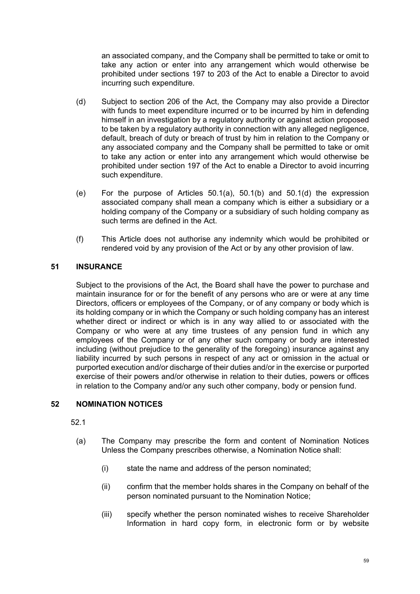an associated company, and the Company shall be permitted to take or omit to take any action or enter into any arrangement which would otherwise be prohibited under sections 197 to 203 of the Act to enable a Director to avoid incurring such expenditure.

- <span id="page-61-1"></span>(d) Subject to section 206 of the Act, the Company may also provide a Director with funds to meet expenditure incurred or to be incurred by him in defending himself in an investigation by a regulatory authority or against action proposed to be taken by a regulatory authority in connection with any alleged negligence, default, breach of duty or breach of trust by him in relation to the Company or any associated company and the Company shall be permitted to take or omit to take any action or enter into any arrangement which would otherwise be prohibited under section 197 of the Act to enable a Director to avoid incurring such expenditure.
- (e) For the purpose of Articles [50.1\(a\),](#page-60-0) [50.1\(b\)](#page-60-1) and [50.1\(d\)](#page-61-1) the expression associated company shall mean a company which is either a subsidiary or a holding company of the Company or a subsidiary of such holding company as such terms are defined in the Act.
- (f) This Article does not authorise any indemnity which would be prohibited or rendered void by any provision of the Act or by any other provision of law.

# <span id="page-61-0"></span>**51 INSURANCE**

Subject to the provisions of the Act, the Board shall have the power to purchase and maintain insurance for or for the benefit of any persons who are or were at any time Directors, officers or employees of the Company, or of any company or body which is its holding company or in which the Company or such holding company has an interest whether direct or indirect or which is in any way allied to or associated with the Company or who were at any time trustees of any pension fund in which any employees of the Company or of any other such company or body are interested including (without prejudice to the generality of the foregoing) insurance against any liability incurred by such persons in respect of any act or omission in the actual or purported execution and/or discharge of their duties and/or in the exercise or purported exercise of their powers and/or otherwise in relation to their duties, powers or offices in relation to the Company and/or any such other company, body or pension fund.

### **52 NOMINATION NOTICES**

52.1

- (a) The Company may prescribe the form and content of Nomination Notices Unless the Company prescribes otherwise, a Nomination Notice shall:
	- (i) state the name and address of the person nominated;
	- (ii) confirm that the member holds shares in the Company on behalf of the person nominated pursuant to the Nomination Notice;
	- (iii) specify whether the person nominated wishes to receive Shareholder Information in hard copy form, in electronic form or by website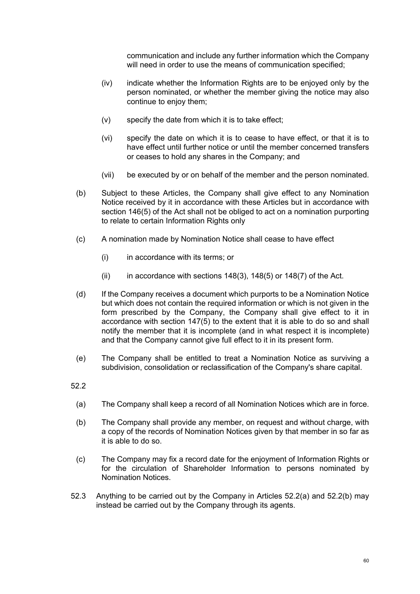communication and include any further information which the Company will need in order to use the means of communication specified;

- (iv) indicate whether the Information Rights are to be enjoyed only by the person nominated, or whether the member giving the notice may also continue to enjoy them;
- (v) specify the date from which it is to take effect;
- (vi) specify the date on which it is to cease to have effect, or that it is to have effect until further notice or until the member concerned transfers or ceases to hold any shares in the Company; and
- (vii) be executed by or on behalf of the member and the person nominated.
- (b) Subject to these Articles, the Company shall give effect to any Nomination Notice received by it in accordance with these Articles but in accordance with section 146(5) of the Act shall not be obliged to act on a nomination purporting to relate to certain Information Rights only
- (c) A nomination made by Nomination Notice shall cease to have effect
	- (i) in accordance with its terms; or
	- $(iii)$  in accordance with sections 148(3), 148(5) or 148(7) of the Act.
- (d) If the Company receives a document which purports to be a Nomination Notice but which does not contain the required information or which is not given in the form prescribed by the Company, the Company shall give effect to it in accordance with section 147(5) to the extent that it is able to do so and shall notify the member that it is incomplete (and in what respect it is incomplete) and that the Company cannot give full effect to it in its present form.
- (e) The Company shall be entitled to treat a Nomination Notice as surviving a subdivision, consolidation or reclassification of the Company's share capital.
- <span id="page-62-1"></span><span id="page-62-0"></span>52.2
	- (a) The Company shall keep a record of all Nomination Notices which are in force.
	- (b) The Company shall provide any member, on request and without charge, with a copy of the records of Nomination Notices given by that member in so far as it is able to do so.
	- (c) The Company may fix a record date for the enjoyment of Information Rights or for the circulation of Shareholder Information to persons nominated by Nomination Notices.
- 52.3 Anything to be carried out by the Company in Articles [52.2\(a\)](#page-62-0) and [52.2\(b\)](#page-62-1) may instead be carried out by the Company through its agents.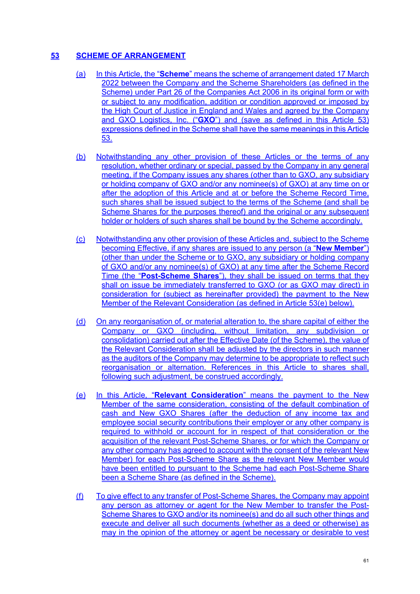# **53 SCHEME OF ARRANGEMENT**

- (a) In this Article, the "**Scheme**" means the scheme of arrangement dated 17 March 2022 between the Company and the Scheme Shareholders (as defined in the Scheme) under Part 26 of the Companies Act 2006 in its original form or with or subject to any modification, addition or condition approved or imposed by the High Court of Justice in England and Wales and agreed by the Company and GXO Logistics, Inc. ("**GXO**") and (save as defined in this Article 53) expressions defined in the Scheme shall have the same meanings in this Article 53.
- (b) Notwithstanding any other provision of these Articles or the terms of any resolution, whether ordinary or special, passed by the Company in any general meeting, if the Company issues any shares (other than to GXO, any subsidiary or holding company of GXO and/or any nominee(s) of GXO) at any time on or after the adoption of this Article and at or before the Scheme Record Time, such shares shall be issued subject to the terms of the Scheme (and shall be Scheme Shares for the purposes thereof) and the original or any subsequent holder or holders of such shares shall be bound by the Scheme accordingly.
- (c) Notwithstanding any other provision of these Articles and, subject to the Scheme becoming Effective, if any shares are issued to any person (a "**New Member**") (other than under the Scheme or to GXO, any subsidiary or holding company of GXO and/or any nominee(s) of GXO) at any time after the Scheme Record Time (the "**Post-Scheme Shares**"), they shall be issued on terms that they shall on issue be immediately transferred to GXO (or as GXO may direct) in consideration for (subject as hereinafter provided) the payment to the New Member of the Relevant Consideration (as defined in Article 53(e) below).
- (d) On any reorganisation of, or material alteration to, the share capital of either the Company or GXO (including, without limitation, any subdivision or consolidation) carried out after the Effective Date (of the Scheme), the value of the Relevant Consideration shall be adjusted by the directors in such manner as the auditors of the Company may determine to be appropriate to reflect such reorganisation or alternation. References in this Article to shares shall, following such adjustment, be construed accordingly.
- (e) In this Article, "**Relevant Consideration**" means the payment to the New Member of the same consideration, consisting of the default combination of cash and New GXO Shares (after the deduction of any income tax and employee social security contributions their employer or any other company is required to withhold or account for in respect of that consideration or the acquisition of the relevant Post-Scheme Shares, or for which the Company or any other company has agreed to account with the consent of the relevant New Member) for each Post-Scheme Share as the relevant New Member would have been entitled to pursuant to the Scheme had each Post-Scheme Share been a Scheme Share (as defined in the Scheme).
- (f) To give effect to any transfer of Post-Scheme Shares, the Company may appoint any person as attorney or agent for the New Member to transfer the Post-Scheme Shares to GXO and/or its nominee(s) and do all such other things and execute and deliver all such documents (whether as a deed or otherwise) as may in the opinion of the attorney or agent be necessary or desirable to vest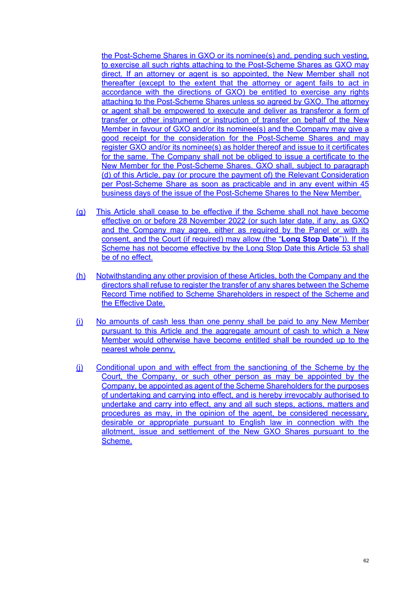the Post-Scheme Shares in GXO or its nominee(s) and, pending such vesting, to exercise all such rights attaching to the Post-Scheme Shares as GXO may direct. If an attorney or agent is so appointed, the New Member shall not thereafter (except to the extent that the attorney or agent fails to act in accordance with the directions of GXO) be entitled to exercise any rights attaching to the Post-Scheme Shares unless so agreed by GXO. The attorney or agent shall be empowered to execute and deliver as transferor a form of transfer or other instrument or instruction of transfer on behalf of the New Member in favour of GXO and/or its nominee(s) and the Company may give a good receipt for the consideration for the Post-Scheme Shares and may register GXO and/or its nominee(s) as holder thereof and issue to it certificates for the same. The Company shall not be obliged to issue a certificate to the New Member for the Post-Scheme Shares. GXO shall, subject to paragraph (d) of this Article, pay (or procure the payment of) the Relevant Consideration per Post-Scheme Share as soon as practicable and in any event within 45 business days of the issue of the Post-Scheme Shares to the New Member.

- (g) This Article shall cease to be effective if the Scheme shall not have become effective on or before 28 November 2022 (or such later date, if any, as GXO and the Company may agree, either as required by the Panel or with its consent, and the Court (if required) may allow (the "**Long Stop Date**")). If the Scheme has not become effective by the Long Stop Date this Article 53 shall be of no effect.
- (h) Notwithstanding any other provision of these Articles, both the Company and the directors shall refuse to register the transfer of any shares between the Scheme Record Time notified to Scheme Shareholders in respect of the Scheme and the Effective Date.
- (i) No amounts of cash less than one penny shall be paid to any New Member pursuant to this Article and the aggregate amount of cash to which a New Member would otherwise have become entitled shall be rounded up to the nearest whole penny.
- (j) Conditional upon and with effect from the sanctioning of the Scheme by the Court, the Company, or such other person as may be appointed by the Company, be appointed as agent of the Scheme Shareholders for the purposes of undertaking and carrying into effect, and is hereby irrevocably authorised to undertake and carry into effect, any and all such steps, actions, matters and procedures as may, in the opinion of the agent, be considered necessary, desirable or appropriate pursuant to English law in connection with the allotment, issue and settlement of the New GXO Shares pursuant to the Scheme.